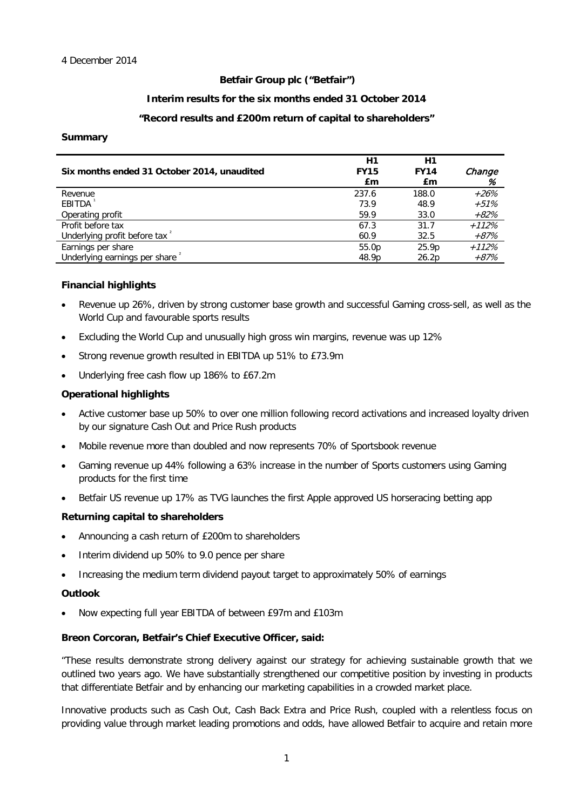## **Betfair Group plc ("Betfair")**

## **Interim results for the six months ended 31 October 2014**

## **"Record results and £200m return of capital to shareholders"**

## **Summary**

| Six months ended 31 October 2014, unaudited | H1<br><b>FY15</b><br>£m | H1<br><b>FY14</b><br>£m | Change<br>% |
|---------------------------------------------|-------------------------|-------------------------|-------------|
| Revenue                                     | 237.6                   | 188.0                   | $+26%$      |
| EBITDA                                      | 73.9                    | 48.9                    | $+51%$      |
| Operating profit                            | 59.9                    | 33.0                    | +82%        |
| Profit before tax                           | 67.3                    | 31.7                    | $+112%$     |
| Underlying profit before tax <sup>2</sup>   | 60.9                    | 32.5                    | +87%        |
| Earnings per share                          | 55.0p                   | 25.9p                   | $+112%$     |
| Underlying earnings per share <sup>2</sup>  | 48.9p                   | 26.2p                   | +87%        |

## **Financial highlights**

- Revenue up 26%, driven by strong customer base growth and successful Gaming cross-sell, as well as the World Cup and favourable sports results
- Excluding the World Cup and unusually high gross win margins, revenue was up 12%
- Strong revenue growth resulted in EBITDA up 51% to £73.9m
- Underlying free cash flow up 186% to £67.2m

## **Operational highlights**

- Active customer base up 50% to over one million following record activations and increased loyalty driven by our signature Cash Out and Price Rush products
- Mobile revenue more than doubled and now represents 70% of Sportsbook revenue
- Gaming revenue up 44% following a 63% increase in the number of Sports customers using Gaming products for the first time
- Betfair US revenue up 17% as TVG launches the first Apple approved US horseracing betting app

## **Returning capital to shareholders**

- Announcing a cash return of £200m to shareholders
- Interim dividend up 50% to 9.0 pence per share
- Increasing the medium term dividend payout target to approximately 50% of earnings

## **Outlook**

• Now expecting full year EBITDA of between £97m and £103m

## **Breon Corcoran, Betfair's Chief Executive Officer, said:**

"These results demonstrate strong delivery against our strategy for achieving sustainable growth that we outlined two years ago. We have substantially strengthened our competitive position by investing in products that differentiate Betfair and by enhancing our marketing capabilities in a crowded market place.

Innovative products such as Cash Out, Cash Back Extra and Price Rush, coupled with a relentless focus on providing value through market leading promotions and odds, have allowed Betfair to acquire and retain more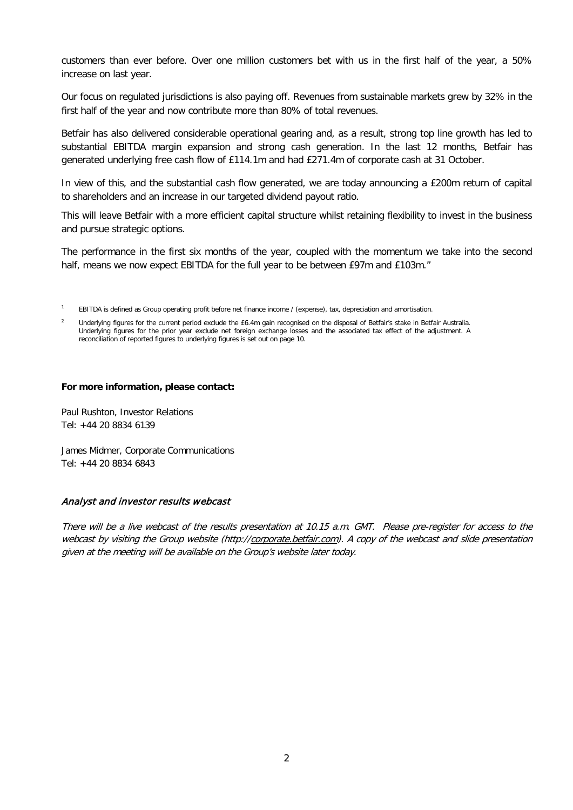customers than ever before. Over one million customers bet with us in the first half of the year, a 50% increase on last year.

Our focus on regulated jurisdictions is also paying off. Revenues from sustainable markets grew by 32% in the first half of the year and now contribute more than 80% of total revenues.

Betfair has also delivered considerable operational gearing and, as a result, strong top line growth has led to substantial EBITDA margin expansion and strong cash generation. In the last 12 months, Betfair has generated underlying free cash flow of £114.1m and had £271.4m of corporate cash at 31 October.

In view of this, and the substantial cash flow generated, we are today announcing a £200m return of capital to shareholders and an increase in our targeted dividend payout ratio.

This will leave Betfair with a more efficient capital structure whilst retaining flexibility to invest in the business and pursue strategic options.

The performance in the first six months of the year, coupled with the momentum we take into the second half, means we now expect EBITDA for the full year to be between £97m and £103m."

<sup>1</sup> EBITDA is defined as Group operating profit before net finance income / (expense), tax, depreciation and amortisation.

#### **For more information, please contact:**

Paul Rushton, Investor Relations Tel: +44 20 8834 6139

James Midmer, Corporate Communications Tel: +44 20 8834 6843

## Analyst and investor results webcast

There will be a live webcast of the results presentation at 10.15 a.m. GMT. Please pre-register for access to the webcast by visiting the Group website (http://corporate.betfair.com). A copy of the webcast and slide presentation given at the meeting will be available on the Group's website later today.

<sup>&</sup>lt;sup>2</sup> Underlying figures for the current period exclude the £6.4m gain recognised on the disposal of Betfair's stake in Betfair Australia. Underlying figures for the prior year exclude net foreign exchange losses and the associated tax effect of the adjustment. A reconciliation of reported figures to underlying figures is set out on page 10.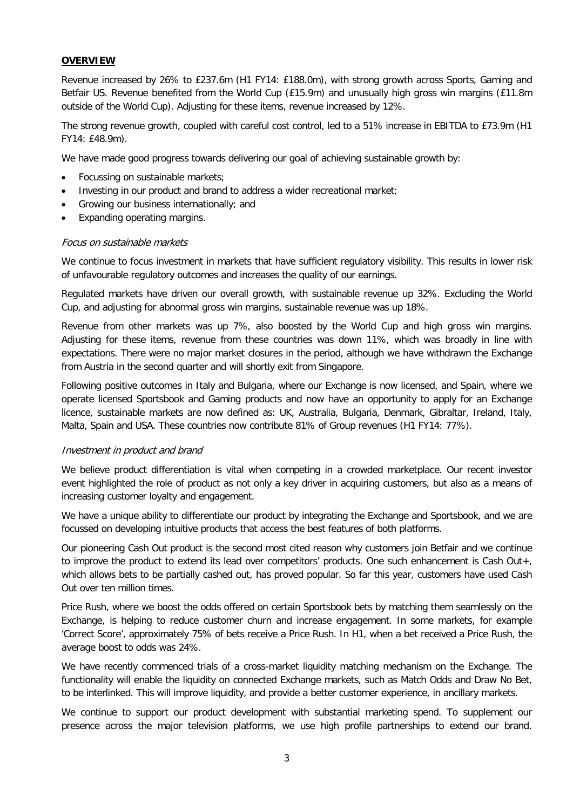## **OVERVIEW**

Revenue increased by 26% to £237.6m (H1 FY14: £188.0m), with strong growth across Sports, Gaming and Betfair US. Revenue benefited from the World Cup (£15.9m) and unusually high gross win margins (£11.8m outside of the World Cup). Adjusting for these items, revenue increased by 12%.

The strong revenue growth, coupled with careful cost control, led to a 51% increase in EBITDA to £73.9m (H1 FY14: £48.9m).

We have made good progress towards delivering our goal of achieving sustainable growth by:

- Focussing on sustainable markets;
- Investing in our product and brand to address a wider recreational market;
- Growing our business internationally; and
- Expanding operating margins.

## Focus on sustainable markets

We continue to focus investment in markets that have sufficient regulatory visibility. This results in lower risk of unfavourable regulatory outcomes and increases the quality of our earnings.

Regulated markets have driven our overall growth, with sustainable revenue up 32%. Excluding the World Cup, and adjusting for abnormal gross win margins, sustainable revenue was up 18%.

Revenue from other markets was up 7%, also boosted by the World Cup and high gross win margins. Adjusting for these items, revenue from these countries was down 11%, which was broadly in line with expectations. There were no major market closures in the period, although we have withdrawn the Exchange from Austria in the second quarter and will shortly exit from Singapore.

Following positive outcomes in Italy and Bulgaria, where our Exchange is now licensed, and Spain, where we operate licensed Sportsbook and Gaming products and now have an opportunity to apply for an Exchange licence, sustainable markets are now defined as: UK, Australia, Bulgaria, Denmark, Gibraltar, Ireland, Italy, Malta, Spain and USA. These countries now contribute 81% of Group revenues (H1 FY14: 77%).

## Investment in product and brand

We believe product differentiation is vital when competing in a crowded marketplace. Our recent investor event highlighted the role of product as not only a key driver in acquiring customers, but also as a means of increasing customer loyalty and engagement.

We have a unique ability to differentiate our product by integrating the Exchange and Sportsbook, and we are focussed on developing intuitive products that access the best features of both platforms.

Our pioneering Cash Out product is the second most cited reason why customers join Betfair and we continue to improve the product to extend its lead over competitors' products. One such enhancement is Cash Out+, which allows bets to be partially cashed out, has proved popular. So far this year, customers have used Cash Out over ten million times.

Price Rush, where we boost the odds offered on certain Sportsbook bets by matching them seamlessly on the Exchange, is helping to reduce customer churn and increase engagement. In some markets, for example 'Correct Score', approximately 75% of bets receive a Price Rush. In H1, when a bet received a Price Rush, the average boost to odds was 24%.

We have recently commenced trials of a cross-market liquidity matching mechanism on the Exchange. The functionality will enable the liquidity on connected Exchange markets, such as Match Odds and Draw No Bet, to be interlinked. This will improve liquidity, and provide a better customer experience, in ancillary markets.

We continue to support our product development with substantial marketing spend. To supplement our presence across the major television platforms, we use high profile partnerships to extend our brand.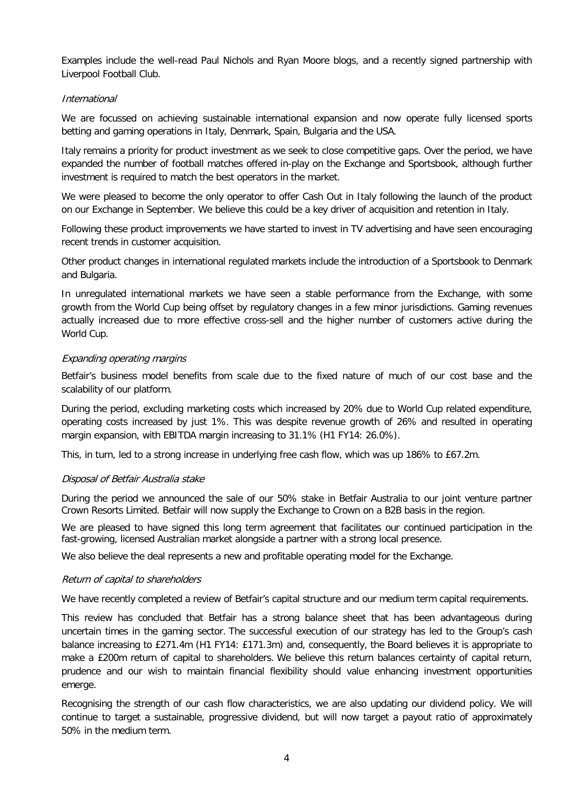Examples include the well-read Paul Nichols and Ryan Moore blogs, and a recently signed partnership with Liverpool Football Club.

## International

We are focussed on achieving sustainable international expansion and now operate fully licensed sports betting and gaming operations in Italy, Denmark, Spain, Bulgaria and the USA.

Italy remains a priority for product investment as we seek to close competitive gaps. Over the period, we have expanded the number of football matches offered in-play on the Exchange and Sportsbook, although further investment is required to match the best operators in the market.

We were pleased to become the only operator to offer Cash Out in Italy following the launch of the product on our Exchange in September. We believe this could be a key driver of acquisition and retention in Italy.

Following these product improvements we have started to invest in TV advertising and have seen encouraging recent trends in customer acquisition.

Other product changes in international regulated markets include the introduction of a Sportsbook to Denmark and Bulgaria.

In unregulated international markets we have seen a stable performance from the Exchange, with some growth from the World Cup being offset by regulatory changes in a few minor jurisdictions. Gaming revenues actually increased due to more effective cross-sell and the higher number of customers active during the World Cup.

## Expanding operating margins

Betfair's business model benefits from scale due to the fixed nature of much of our cost base and the scalability of our platform.

During the period, excluding marketing costs which increased by 20% due to World Cup related expenditure, operating costs increased by just 1%. This was despite revenue growth of 26% and resulted in operating margin expansion, with EBITDA margin increasing to 31.1% (H1 FY14: 26.0%).

This, in turn, led to a strong increase in underlying free cash flow, which was up 186% to £67.2m.

## Disposal of Betfair Australia stake

During the period we announced the sale of our 50% stake in Betfair Australia to our joint venture partner Crown Resorts Limited. Betfair will now supply the Exchange to Crown on a B2B basis in the region.

We are pleased to have signed this long term agreement that facilitates our continued participation in the fast-growing, licensed Australian market alongside a partner with a strong local presence.

We also believe the deal represents a new and profitable operating model for the Exchange.

## Return of capital to shareholders

We have recently completed a review of Betfair's capital structure and our medium term capital requirements.

This review has concluded that Betfair has a strong balance sheet that has been advantageous during uncertain times in the gaming sector. The successful execution of our strategy has led to the Group's cash balance increasing to £271.4m (H1 FY14: £171.3m) and, consequently, the Board believes it is appropriate to make a £200m return of capital to shareholders. We believe this return balances certainty of capital return, prudence and our wish to maintain financial flexibility should value enhancing investment opportunities emerge.

Recognising the strength of our cash flow characteristics, we are also updating our dividend policy. We will continue to target a sustainable, progressive dividend, but will now target a payout ratio of approximately 50% in the medium term.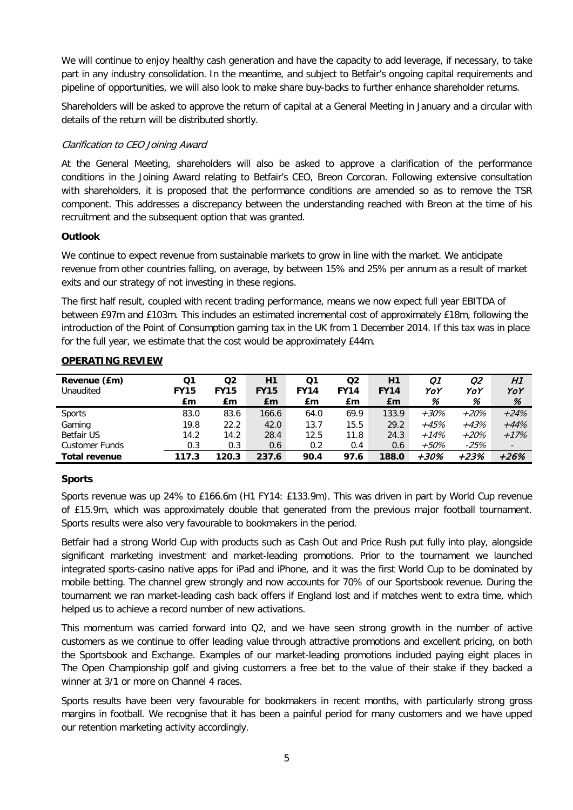We will continue to enjoy healthy cash generation and have the capacity to add leverage, if necessary, to take part in any industry consolidation. In the meantime, and subject to Betfair's ongoing capital requirements and pipeline of opportunities, we will also look to make share buy-backs to further enhance shareholder returns.

Shareholders will be asked to approve the return of capital at a General Meeting in January and a circular with details of the return will be distributed shortly.

## Clarification to CEO Joining Award

At the General Meeting, shareholders will also be asked to approve a clarification of the performance conditions in the Joining Award relating to Betfair's CEO, Breon Corcoran. Following extensive consultation with shareholders, it is proposed that the performance conditions are amended so as to remove the TSR component. This addresses a discrepancy between the understanding reached with Breon at the time of his recruitment and the subsequent option that was granted.

## **Outlook**

We continue to expect revenue from sustainable markets to grow in line with the market. We anticipate revenue from other countries falling, on average, by between 15% and 25% per annum as a result of market exits and our strategy of not investing in these regions.

The first half result, coupled with recent trading performance, means we now expect full year EBITDA of between £97m and £103m. This includes an estimated incremental cost of approximately £18m, following the introduction of the Point of Consumption gaming tax in the UK from 1 December 2014. If this tax was in place for the full year, we estimate that the cost would be approximately £44m.

| Revenue (£m)<br>Unaudited | Q1<br><b>FY15</b><br>£m | Q2<br><b>FY15</b><br>£m | H1<br><b>FY15</b><br>£m | Q1<br><b>FY14</b><br>£m | Q2<br><b>FY14</b><br>£m | H1<br><b>FY14</b><br>£m | Ο1<br>YoY<br>% | 02<br>YoY<br>% | H1<br>YoY<br>%           |
|---------------------------|-------------------------|-------------------------|-------------------------|-------------------------|-------------------------|-------------------------|----------------|----------------|--------------------------|
| <b>Sports</b>             | 83.0                    | 83.6                    | 166.6                   | 64.0                    | 69.9                    | 133.9                   | $+30%$         | $+20%$         | $+24%$                   |
| Gaming                    | 19.8                    | 22.2                    | 42.0                    | 13.7                    | 15.5                    | 29.2                    | $+45%$         | +43%           | $+44%$                   |
| <b>Betfair US</b>         | 14.2                    | 14.2                    | 28.4                    | 12.5                    | 11.8                    | 24.3                    | $+14%$         | $+20%$         | $+17%$                   |
| <b>Customer Funds</b>     | 0.3                     | 0.3                     | 0.6                     | 0.2                     | 0.4                     | 0.6                     | $+50\%$        | $-25%$         | $\overline{\phantom{a}}$ |
| <b>Total revenue</b>      | 117.3                   | 120.3                   | 237.6                   | 90.4                    | 97.6                    | 188.0                   | +30%           | $+23%$         | $+26%$                   |

## **OPERATING REVIEW**

## **Sports**

Sports revenue was up 24% to £166.6m (H1 FY14: £133.9m). This was driven in part by World Cup revenue of £15.9m, which was approximately double that generated from the previous major football tournament. Sports results were also very favourable to bookmakers in the period.

Betfair had a strong World Cup with products such as Cash Out and Price Rush put fully into play, alongside significant marketing investment and market-leading promotions. Prior to the tournament we launched integrated sports-casino native apps for iPad and iPhone, and it was the first World Cup to be dominated by mobile betting. The channel grew strongly and now accounts for 70% of our Sportsbook revenue. During the tournament we ran market-leading cash back offers if England lost and if matches went to extra time, which helped us to achieve a record number of new activations.

This momentum was carried forward into Q2, and we have seen strong growth in the number of active customers as we continue to offer leading value through attractive promotions and excellent pricing, on both the Sportsbook and Exchange. Examples of our market-leading promotions included paying eight places in The Open Championship golf and giving customers a free bet to the value of their stake if they backed a winner at 3/1 or more on Channel 4 races.

Sports results have been very favourable for bookmakers in recent months, with particularly strong gross margins in football. We recognise that it has been a painful period for many customers and we have upped our retention marketing activity accordingly.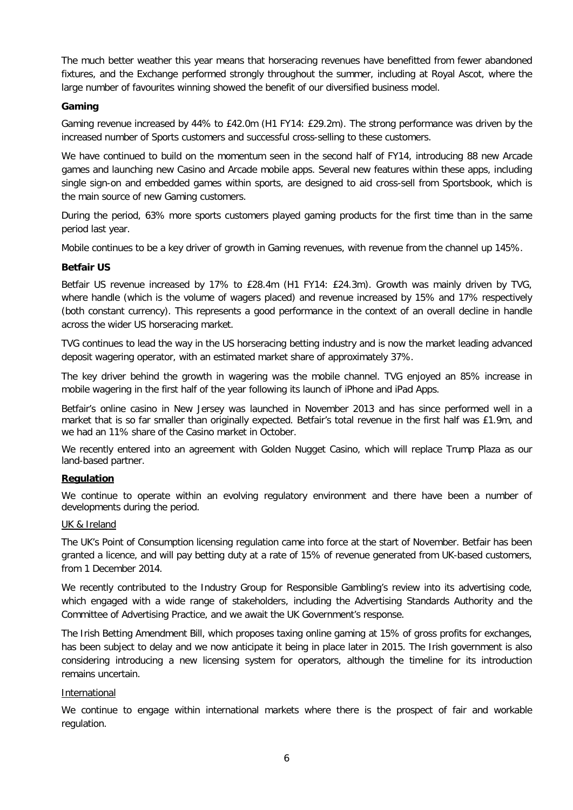The much better weather this year means that horseracing revenues have benefitted from fewer abandoned fixtures, and the Exchange performed strongly throughout the summer, including at Royal Ascot, where the large number of favourites winning showed the benefit of our diversified business model.

## **Gaming**

Gaming revenue increased by 44% to £42.0m (H1 FY14: £29.2m). The strong performance was driven by the increased number of Sports customers and successful cross-selling to these customers.

We have continued to build on the momentum seen in the second half of FY14, introducing 88 new Arcade games and launching new Casino and Arcade mobile apps. Several new features within these apps, including single sign-on and embedded games within sports, are designed to aid cross-sell from Sportsbook, which is the main source of new Gaming customers.

During the period, 63% more sports customers played gaming products for the first time than in the same period last year.

Mobile continues to be a key driver of growth in Gaming revenues, with revenue from the channel up 145%.

## **Betfair US**

Betfair US revenue increased by 17% to £28.4m (H1 FY14: £24.3m). Growth was mainly driven by TVG, where handle (which is the volume of wagers placed) and revenue increased by 15% and 17% respectively (both constant currency). This represents a good performance in the context of an overall decline in handle across the wider US horseracing market.

TVG continues to lead the way in the US horseracing betting industry and is now the market leading advanced deposit wagering operator, with an estimated market share of approximately 37%.

The key driver behind the growth in wagering was the mobile channel. TVG enjoyed an 85% increase in mobile wagering in the first half of the year following its launch of iPhone and iPad Apps.

Betfair's online casino in New Jersey was launched in November 2013 and has since performed well in a market that is so far smaller than originally expected. Betfair's total revenue in the first half was £1.9m, and we had an 11% share of the Casino market in October.

We recently entered into an agreement with Golden Nugget Casino, which will replace Trump Plaza as our land-based partner.

## **Regulation**

We continue to operate within an evolving regulatory environment and there have been a number of developments during the period.

## UK & Ireland

The UK's Point of Consumption licensing regulation came into force at the start of November. Betfair has been granted a licence, and will pay betting duty at a rate of 15% of revenue generated from UK-based customers, from 1 December 2014.

We recently contributed to the Industry Group for Responsible Gambling's review into its advertising code, which engaged with a wide range of stakeholders, including the Advertising Standards Authority and the Committee of Advertising Practice, and we await the UK Government's response.

The Irish Betting Amendment Bill, which proposes taxing online gaming at 15% of gross profits for exchanges, has been subject to delay and we now anticipate it being in place later in 2015. The Irish government is also considering introducing a new licensing system for operators, although the timeline for its introduction remains uncertain.

## International

We continue to engage within international markets where there is the prospect of fair and workable regulation.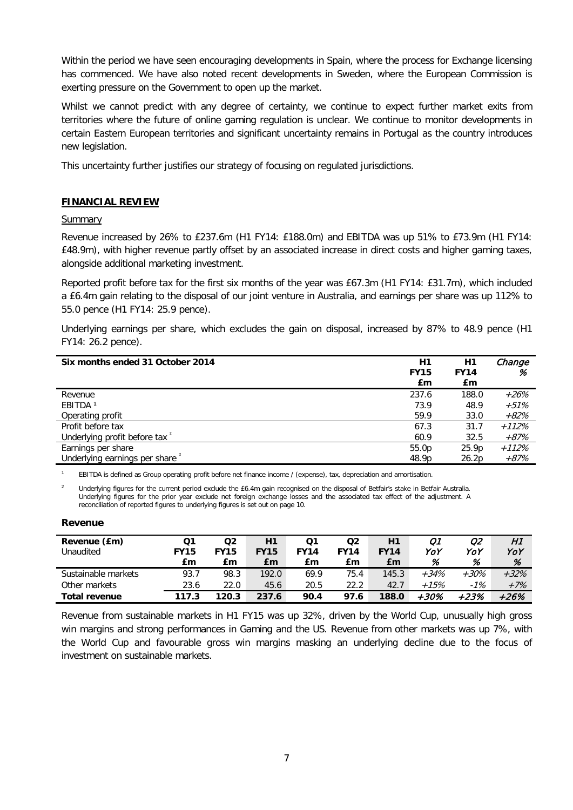Within the period we have seen encouraging developments in Spain, where the process for Exchange licensing has commenced. We have also noted recent developments in Sweden, where the European Commission is exerting pressure on the Government to open up the market.

Whilst we cannot predict with any degree of certainty, we continue to expect further market exits from territories where the future of online gaming regulation is unclear. We continue to monitor developments in certain Eastern European territories and significant uncertainty remains in Portugal as the country introduces new legislation.

This uncertainty further justifies our strategy of focusing on regulated jurisdictions.

## **FINANCIAL REVIEW**

## **Summary**

Revenue increased by 26% to £237.6m (H1 FY14: £188.0m) and EBITDA was up 51% to £73.9m (H1 FY14: £48.9m), with higher revenue partly offset by an associated increase in direct costs and higher gaming taxes, alongside additional marketing investment.

Reported profit before tax for the first six months of the year was £67.3m (H1 FY14: £31.7m), which included a £6.4m gain relating to the disposal of our joint venture in Australia, and earnings per share was up 112% to 55.0 pence (H1 FY14: 25.9 pence).

Underlying earnings per share, which excludes the gain on disposal, increased by 87% to 48.9 pence (H1 FY14: 26.2 pence).

| Six months ended 31 October 2014          | H1          | H1          | Change  |
|-------------------------------------------|-------------|-------------|---------|
|                                           | <b>FY15</b> | <b>FY14</b> | %       |
|                                           | £m          | £m          |         |
| Revenue                                   | 237.6       | 188.0       | $+26%$  |
| EBITDA <sup>1</sup>                       | 73.9        | 48.9        | $+51%$  |
| Operating profit                          | 59.9        | 33.0        | $+82%$  |
| Profit before tax                         | 67.3        | 31.7        | $+112%$ |
| Underlying profit before tax <sup>2</sup> | 60.9        | 32.5        | +87%    |
| Earnings per share                        | 55.0p       | 25.9p       | $+112%$ |
| Underlying earnings per share             | 48.9p       | 26.2p       | +87%    |

<sup>1</sup> EBITDA is defined as Group operating profit before net finance income / (expense), tax, depreciation and amortisation.

<sup>2</sup> Underlying figures for the current period exclude the £6.4m gain recognised on the disposal of Betfair's stake in Betfair Australia. Underlying figures for the prior year exclude net foreign exchange losses and the associated tax effect of the adjustment. A reconciliation of reported figures to underlying figures is set out on page 10.

## **Revenue**

| Revenue (£m)<br>Unaudited | Ο1<br><b>FY15</b><br>£m | Q2<br><b>FY15</b><br>£m | Η1<br><b>FY15</b><br>£m | Ο1<br><b>FY14</b><br>£m | Q2<br><b>FY14</b><br>£m | H1<br><b>FY14</b><br>£m | Ω1<br>YoY<br>% | Ω2<br>YoY<br>% | H1<br>YoY<br>% |
|---------------------------|-------------------------|-------------------------|-------------------------|-------------------------|-------------------------|-------------------------|----------------|----------------|----------------|
| Sustainable markets       | 93.7                    | 98.3                    | 192.0                   | 69.9                    | 75.4                    | 145.3                   | $+34%$         | $+30\%$        | $+32%$         |
| Other markets             | 23.6                    | 22.0                    | 45.6                    | 20.5                    | 22.2                    | 42.7                    | $+15%$         | $-1%$          | $+7%$          |
| <b>Total revenue</b>      | 117.3                   | 120.3                   | 237.6                   | 90.4                    | 97.6                    | 188.0                   | +30%           | +23%           | +26%           |

Revenue from sustainable markets in H1 FY15 was up 32%, driven by the World Cup, unusually high gross win margins and strong performances in Gaming and the US. Revenue from other markets was up 7%, with the World Cup and favourable gross win margins masking an underlying decline due to the focus of investment on sustainable markets.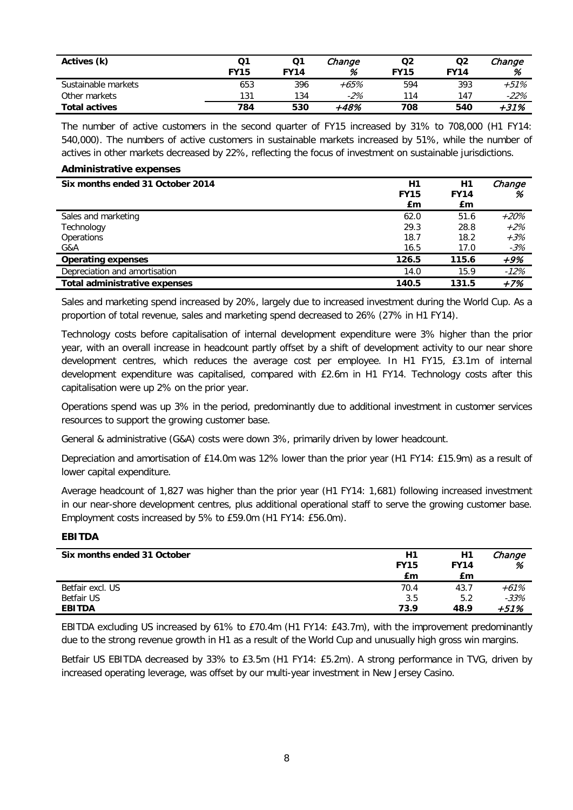| Actives (k)          | Ο1<br><b>FY15</b> | Q1<br><b>FY14</b> | Change<br>% | Q2<br><b>FY15</b> | Q <sub>2</sub><br><b>FY14</b> | Change<br>% |
|----------------------|-------------------|-------------------|-------------|-------------------|-------------------------------|-------------|
| Sustainable markets  | 653               | 396               | +65%        | 594               | 393                           | +51%        |
| Other markets        | 131               | 134               | $-2%$       | 114               | 147                           | $-22%$      |
| <b>Total actives</b> | 784               | 530               | +48%        | 708               | 540                           | $+31%$      |

The number of active customers in the second quarter of FY15 increased by 31% to 708,000 (H1 FY14: 540,000). The numbers of active customers in sustainable markets increased by 51%, while the number of actives in other markets decreased by 22%, reflecting the focus of investment on sustainable jurisdictions.

#### **Administrative expenses**

| Six months ended 31 October 2014     | H1<br><b>FY15</b><br>£m | H1<br><b>FY14</b><br>£m | Change<br>% |
|--------------------------------------|-------------------------|-------------------------|-------------|
| Sales and marketing                  | 62.0                    | 51.6                    | $+20%$      |
| Technology                           | 29.3                    | 28.8                    | $+2%$       |
| Operations                           | 18.7                    | 18.2                    | $+3%$       |
| G&A                                  | 16.5                    | 17.0                    | $-3%$       |
| <b>Operating expenses</b>            | 126.5                   | 115.6                   | +9%         |
| Depreciation and amortisation        | 14.0                    | 15.9                    | -12%        |
| <b>Total administrative expenses</b> | 140.5                   | 131.5                   | $+7%$       |

Sales and marketing spend increased by 20%, largely due to increased investment during the World Cup. As a proportion of total revenue, sales and marketing spend decreased to 26% (27% in H1 FY14).

Technology costs before capitalisation of internal development expenditure were 3% higher than the prior year, with an overall increase in headcount partly offset by a shift of development activity to our near shore development centres, which reduces the average cost per employee. In H1 FY15, £3.1m of internal development expenditure was capitalised, compared with £2.6m in H1 FY14. Technology costs after this capitalisation were up 2% on the prior year.

Operations spend was up 3% in the period, predominantly due to additional investment in customer services resources to support the growing customer base.

General & administrative (G&A) costs were down 3%, primarily driven by lower headcount.

Depreciation and amortisation of £14.0m was 12% lower than the prior year (H1 FY14: £15.9m) as a result of lower capital expenditure.

Average headcount of 1,827 was higher than the prior year (H1 FY14: 1,681) following increased investment in our near-shore development centres, plus additional operational staff to serve the growing customer base. Employment costs increased by 5% to £59.0m (H1 FY14: £56.0m).

## **EBITDA**

| Six months ended 31 October        | H1<br><b>FY15</b><br>£m | H1<br><b>FY14</b><br>£m | Change<br>%    |
|------------------------------------|-------------------------|-------------------------|----------------|
| Betfair excl. US                   | 70.4                    | 43.7                    | $+61%$         |
| <b>Betfair US</b><br><b>EBITDA</b> | 3.5<br>73.9             | 5.2<br>48.9             | $-33%$<br>+51% |

EBITDA excluding US increased by 61% to £70.4m (H1 FY14: £43.7m), with the improvement predominantly due to the strong revenue growth in H1 as a result of the World Cup and unusually high gross win margins.

Betfair US EBITDA decreased by 33% to £3.5m (H1 FY14: £5.2m). A strong performance in TVG, driven by increased operating leverage, was offset by our multi-year investment in New Jersey Casino.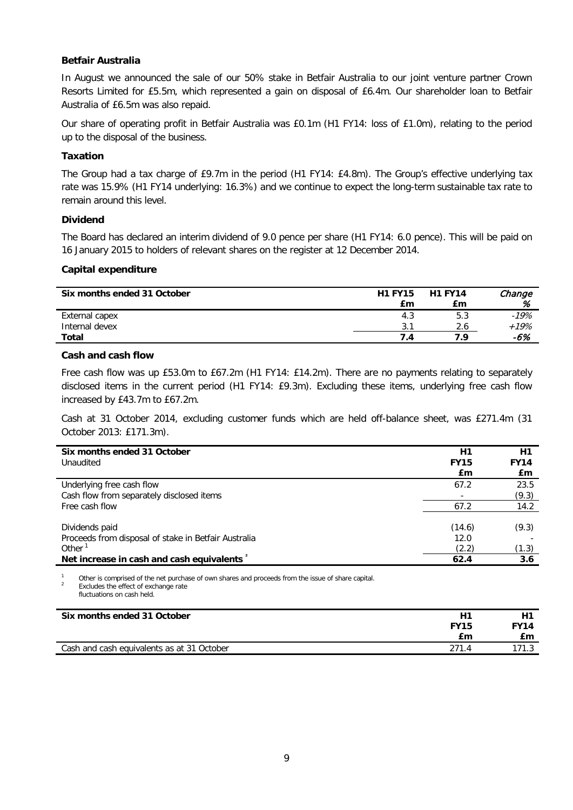## **Betfair Australia**

In August we announced the sale of our 50% stake in Betfair Australia to our joint venture partner Crown Resorts Limited for £5.5m, which represented a gain on disposal of £6.4m. Our shareholder loan to Betfair Australia of £6.5m was also repaid.

Our share of operating profit in Betfair Australia was £0.1m (H1 FY14: loss of £1.0m), relating to the period up to the disposal of the business.

## **Taxation**

The Group had a tax charge of £9.7m in the period (H1 FY14: £4.8m). The Group's effective underlying tax rate was 15.9% (H1 FY14 underlying: 16.3%) and we continue to expect the long-term sustainable tax rate to remain around this level.

## **Dividend**

The Board has declared an interim dividend of 9.0 pence per share (H1 FY14: 6.0 pence). This will be paid on 16 January 2015 to holders of relevant shares on the register at 12 December 2014.

## **Capital expenditure**

| Six months ended 31 October | <b>H1 FY15</b><br>£m | <b>H1 FY14</b><br>£m | Change<br>% |
|-----------------------------|----------------------|----------------------|-------------|
| External capex              | 4.3                  | 5.3                  | $-19%$      |
| Internal devex              | 3.1                  | 2.6                  | $+19%$      |
| <b>Total</b>                | 7.4                  | 7.9                  | -6%         |

## **Cash and cash flow**

Free cash flow was up £53.0m to £67.2m (H1 FY14: £14.2m). There are no payments relating to separately disclosed items in the current period (H1 FY14: £9.3m). Excluding these items, underlying free cash flow increased by £43.7m to £67.2m.

Cash at 31 October 2014, excluding customer funds which are held off-balance sheet, was £271.4m (31 October 2013: £171.3m).

| Six months ended 31 October<br>Unaudited             | H1<br><b>FY15</b><br>£m | H1<br><b>FY14</b><br>£m |
|------------------------------------------------------|-------------------------|-------------------------|
| Underlying free cash flow                            | 67.2                    | 23.5                    |
| Cash flow from separately disclosed items            |                         | (9.3)                   |
| Free cash flow                                       | 67.2                    | 14.2                    |
|                                                      |                         |                         |
| Dividends paid                                       | (14.6)                  | (9.3)                   |
| Proceeds from disposal of stake in Betfair Australia | 12.0                    |                         |
| Other <sup>1</sup>                                   | (2.2)                   | (1.3)                   |
| Net increase in cash and cash equivalents            | 62.4                    | 3.6                     |

<sup>1</sup> Other is comprised of the net purchase of own shares and proceeds from the issue of share capital. Excludes the effect of exchange rate fluctuations on cash held.

| Six months ended 31 October                |             | Η1          |
|--------------------------------------------|-------------|-------------|
|                                            | <b>FY15</b> | <b>FY14</b> |
|                                            | £m          | £m          |
| Cash and cash equivalents as at 31 October | 271.4       |             |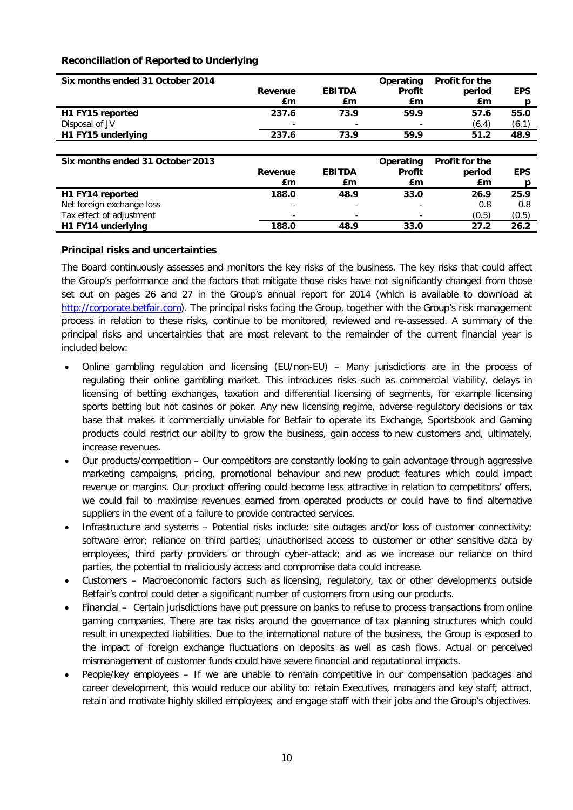## **Reconciliation of Reported to Underlying**

| Six months ended 31 October 2014 |         |               | Operating     | Profit for the |            |
|----------------------------------|---------|---------------|---------------|----------------|------------|
|                                  | Revenue | <b>EBITDA</b> | <b>Profit</b> | period         | <b>EPS</b> |
|                                  | £m      | £m            | £m            | £m             | D          |
| H1 FY15 reported                 | 237.6   | 73.9          | 59.9          | 57.6           | 55.0       |
| Disposal of JV                   |         |               |               | (6.4)          | (6.1)      |
| H1 FY15 underlying               | 237.6   | 73.9          | 59.9          | 51.2           | 48.9       |
|                                  |         |               |               |                |            |
|                                  |         |               |               |                |            |
| Six months ended 31 October 2013 |         |               | Operating     | Profit for the |            |
|                                  | Revenue | <b>EBITDA</b> | <b>Profit</b> | period         | <b>EPS</b> |
|                                  | £m      | £m            | £m            | £m             | D          |
| H1 FY14 reported                 | 188.0   | 48.9          | 33.0          | 26.9           | 25.9       |
| Net foreign exchange loss        |         |               |               | 0.8            | 0.8        |
| Tax effect of adjustment         |         | ٠             |               | (0.5)          | (0.5)      |

## **Principal risks and uncertainties**

The Board continuously assesses and monitors the key risks of the business. The key risks that could affect the Group's performance and the factors that mitigate those risks have not significantly changed from those set out on pages 26 and 27 in the Group's annual report for 2014 (which is available to download at [http://corporate.betfair.com\)](http://corporate.betfair.com/). The principal risks facing the Group, together with the Group's risk management process in relation to these risks, continue to be monitored, reviewed and re-assessed. A summary of the principal risks and uncertainties that are most relevant to the remainder of the current financial year is included below:

- Online gambling regulation and licensing (EU/non-EU) Many jurisdictions are in the process of regulating their online gambling market. This introduces risks such as commercial viability, delays in licensing of betting exchanges, taxation and differential licensing of segments, for example licensing sports betting but not casinos or poker. Any new licensing regime, adverse regulatory decisions or tax base that makes it commercially unviable for Betfair to operate its Exchange, Sportsbook and Gaming products could restrict our ability to grow the business, gain access to new customers and, ultimately, increase revenues.
- Our products/competition Our competitors are constantly looking to gain advantage through aggressive marketing campaigns, pricing, promotional behaviour and new product features which could impact revenue or margins. Our product offering could become less attractive in relation to competitors' offers, we could fail to maximise revenues earned from operated products or could have to find alternative suppliers in the event of a failure to provide contracted services.
- Infrastructure and systems Potential risks include: site outages and/or loss of customer connectivity; software error; reliance on third parties; unauthorised access to customer or other sensitive data by employees, third party providers or through cyber-attack; and as we increase our reliance on third parties, the potential to maliciously access and compromise data could increase.
- Customers Macroeconomic factors such as licensing, regulatory, tax or other developments outside Betfair's control could deter a significant number of customers from using our products.
- Financial Certain jurisdictions have put pressure on banks to refuse to process transactions from online gaming companies. There are tax risks around the governance of tax planning structures which could result in unexpected liabilities. Due to the international nature of the business, the Group is exposed to the impact of foreign exchange fluctuations on deposits as well as cash flows. Actual or perceived mismanagement of customer funds could have severe financial and reputational impacts.
- People/key employees If we are unable to remain competitive in our compensation packages and career development, this would reduce our ability to: retain Executives, managers and key staff; attract, retain and motivate highly skilled employees; and engage staff with their jobs and the Group's objectives.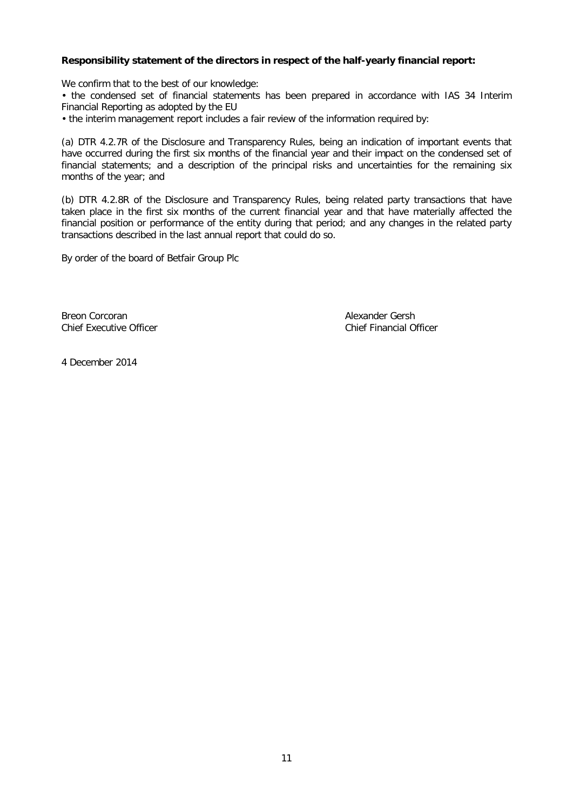## **Responsibility statement of the directors in respect of the half-yearly financial report:**

We confirm that to the best of our knowledge:

• the condensed set of financial statements has been prepared in accordance with IAS 34 Interim Financial Reporting as adopted by the EU

• the interim management report includes a fair review of the information required by:

(a) DTR 4.2.7R of the Disclosure and Transparency Rules, being an indication of important events that have occurred during the first six months of the financial year and their impact on the condensed set of financial statements; and a description of the principal risks and uncertainties for the remaining six months of the year; and

(b) DTR 4.2.8R of the Disclosure and Transparency Rules, being related party transactions that have taken place in the first six months of the current financial year and that have materially affected the financial position or performance of the entity during that period; and any changes in the related party transactions described in the last annual report that could do so.

By order of the board of Betfair Group Plc

Breon Corcoran and Chief Financial Chief Financial Online Chief Financial Online Chief Financial Online Chief Financial Online Chief Financial Online Chief Financial Online Chief Financial O

Chief Financial Officer

4 December 2014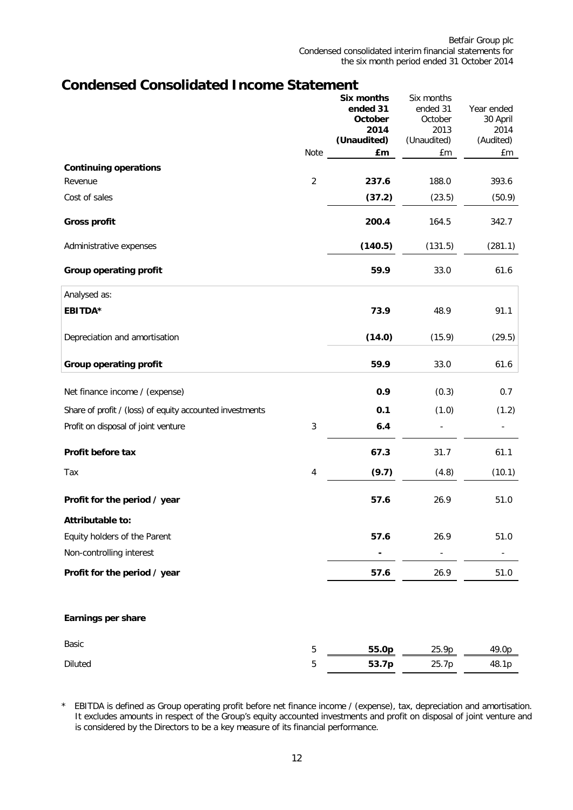## **Condensed Consolidated Income Statement**

|                                                          |                | Six months<br>ended 31<br>October<br>2014<br>(Unaudited) | Six months<br>ended 31<br>October<br>2013<br>(Unaudited) | Year ended<br>30 April<br>2014<br>(Audited) |
|----------------------------------------------------------|----------------|----------------------------------------------------------|----------------------------------------------------------|---------------------------------------------|
| <b>Continuing operations</b>                             | Note           | £m                                                       | £m                                                       | £m                                          |
| Revenue                                                  | $\overline{2}$ | 237.6                                                    | 188.0                                                    | 393.6                                       |
| Cost of sales                                            |                | (37.2)                                                   | (23.5)                                                   | (50.9)                                      |
| <b>Gross profit</b>                                      |                | 200.4                                                    | 164.5                                                    | 342.7                                       |
| Administrative expenses                                  |                | (140.5)                                                  | (131.5)                                                  | (281.1)                                     |
| <b>Group operating profit</b>                            |                | 59.9                                                     | 33.0                                                     | 61.6                                        |
| Analysed as:                                             |                |                                                          |                                                          |                                             |
| <b>EBITDA*</b>                                           |                | 73.9                                                     | 48.9                                                     | 91.1                                        |
| Depreciation and amortisation                            |                | (14.0)                                                   | (15.9)                                                   | (29.5)                                      |
| <b>Group operating profit</b>                            |                | 59.9                                                     | 33.0                                                     | 61.6                                        |
| Net finance income / (expense)                           |                | 0.9                                                      | (0.3)                                                    | 0.7                                         |
| Share of profit / (loss) of equity accounted investments |                | 0.1                                                      | (1.0)                                                    | (1.2)                                       |
| Profit on disposal of joint venture                      | $\sqrt{3}$     | 6.4                                                      |                                                          |                                             |
| Profit before tax                                        |                | 67.3                                                     | 31.7                                                     | 61.1                                        |
| Tax                                                      | $\overline{4}$ | (9.7)                                                    | (4.8)                                                    | (10.1)                                      |
| Profit for the period / year                             |                | 57.6                                                     | 26.9                                                     | 51.0                                        |
| Attributable to:                                         |                |                                                          |                                                          |                                             |
| Equity holders of the Parent                             |                | 57.6                                                     | 26.9                                                     | 51.0                                        |
| Non-controlling interest                                 |                | -                                                        |                                                          |                                             |
| Profit for the period / year                             |                | 57.6                                                     | 26.9                                                     | 51.0                                        |
| Earnings per share                                       |                |                                                          |                                                          |                                             |
| Basic                                                    | $\mathbf 5$    | 55.0p                                                    | 25.9p                                                    | 49.0p                                       |
| Diluted                                                  | $\sqrt{5}$     | 53.7p                                                    | 25.7p                                                    | 48.1p                                       |

<sup>\*</sup> EBITDA is defined as Group operating profit before net finance income / (expense), tax, depreciation and amortisation. It excludes amounts in respect of the Group's equity accounted investments and profit on disposal of joint venture and is considered by the Directors to be a key measure of its financial performance.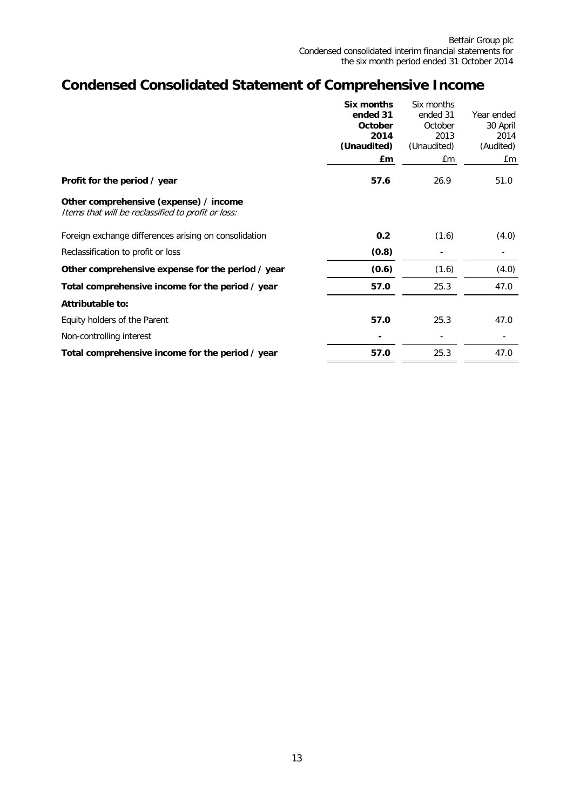# **Condensed Consolidated Statement of Comprehensive Income**

|                                                                                              | Six months     | Six months     |            |
|----------------------------------------------------------------------------------------------|----------------|----------------|------------|
|                                                                                              | ended 31       | ended 31       | Year ended |
|                                                                                              | <b>October</b> | October        | 30 April   |
|                                                                                              | 2014           | 2013           | 2014       |
|                                                                                              | (Unaudited)    | (Unaudited)    | (Audited)  |
|                                                                                              | £m             | £m             | £m         |
| Profit for the period / year                                                                 | 57.6           | 26.9           | 51.0       |
| Other comprehensive (expense) / income<br>Items that will be reclassified to profit or loss: |                |                |            |
| Foreign exchange differences arising on consolidation                                        | 0.2            | (1.6)          | (4.0)      |
| Reclassification to profit or loss                                                           | (0.8)          | $\overline{a}$ |            |
| Other comprehensive expense for the period / year                                            | (0.6)          | (1.6)          | (4.0)      |
| Total comprehensive income for the period / year                                             | 57.0           | 25.3           | 47.0       |
| Attributable to:                                                                             |                |                |            |
| Equity holders of the Parent                                                                 | 57.0           | 25.3           | 47.0       |
| Non-controlling interest                                                                     |                |                |            |
| Total comprehensive income for the period / year                                             | 57.0           | 25.3           | 47.0       |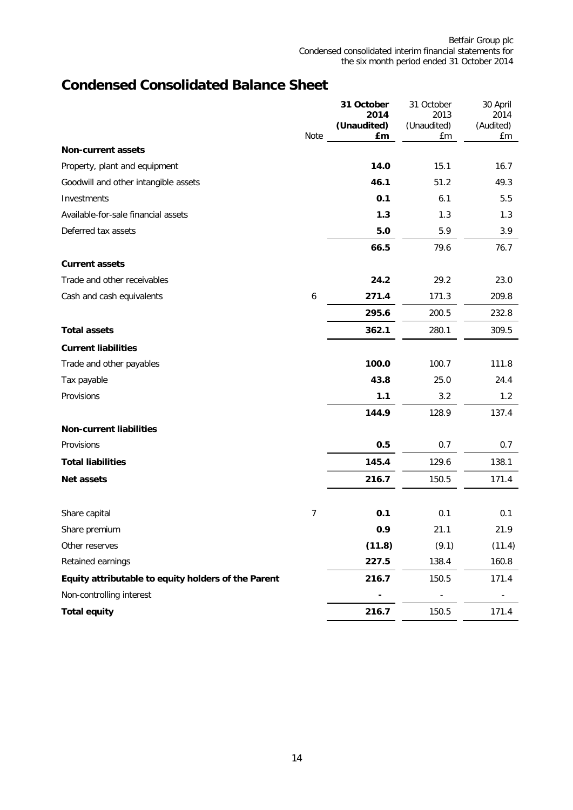# **Condensed Consolidated Balance Sheet**

|                                                     |                | 31 October<br>2014 | 31 October<br>2013 | 30 April<br>2014 |
|-----------------------------------------------------|----------------|--------------------|--------------------|------------------|
|                                                     | Note           | (Unaudited)<br>£m  | (Unaudited)<br>£m  | (Audited)<br>£m  |
| <b>Non-current assets</b>                           |                |                    |                    |                  |
| Property, plant and equipment                       |                | 14.0               | 15.1               | 16.7             |
| Goodwill and other intangible assets                |                | 46.1               | 51.2               | 49.3             |
| Investments                                         |                | 0.1                | 6.1                | 5.5              |
| Available-for-sale financial assets                 |                | 1.3                | 1.3                | 1.3              |
| Deferred tax assets                                 |                | 5.0                | 5.9                | 3.9              |
|                                                     |                | 66.5               | 79.6               | 76.7             |
| <b>Current assets</b>                               |                |                    |                    |                  |
| Trade and other receivables                         |                | 24.2               | 29.2               | 23.0             |
| Cash and cash equivalents                           | 6              | 271.4              | 171.3              | 209.8            |
|                                                     |                | 295.6              | 200.5              | 232.8            |
| <b>Total assets</b>                                 |                | 362.1              | 280.1              | 309.5            |
| <b>Current liabilities</b>                          |                |                    |                    |                  |
| Trade and other payables                            |                | 100.0              | 100.7              | 111.8            |
| Tax payable                                         |                | 43.8               | 25.0               | 24.4             |
| Provisions                                          |                | 1.1                | 3.2                | 1.2              |
|                                                     |                | 144.9              | 128.9              | 137.4            |
| <b>Non-current liabilities</b>                      |                |                    |                    |                  |
| Provisions                                          |                | 0.5                | 0.7                | 0.7              |
| <b>Total liabilities</b>                            |                | 145.4              | 129.6              | 138.1            |
| Net assets                                          |                | 216.7              | 150.5              | 171.4            |
|                                                     |                |                    |                    |                  |
| Share capital                                       | $\overline{7}$ | 0.1                | 0.1                | 0.1              |
| Share premium                                       |                | 0.9                | 21.1               | 21.9             |
| Other reserves                                      |                | (11.8)             | (9.1)              | (11.4)           |
| Retained earnings                                   |                | 227.5              | 138.4              | 160.8            |
| Equity attributable to equity holders of the Parent |                | 216.7              | 150.5              | 171.4            |
| Non-controlling interest                            |                |                    |                    |                  |
| <b>Total equity</b>                                 |                | 216.7              | 150.5              | 171.4            |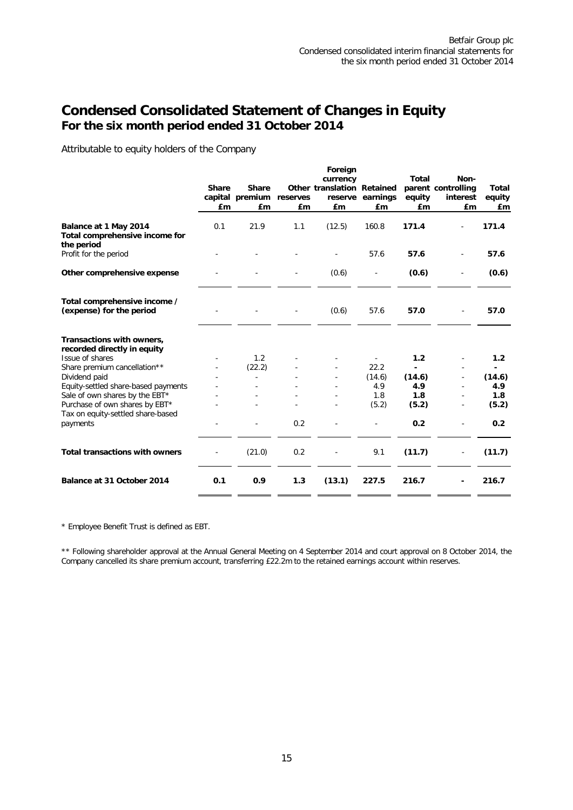## **Condensed Consolidated Statement of Changes in Equity For the six month period ended 31 October 2014**

Attributable to equity holders of the Company

|                                                                       | <b>Share</b><br>£m | <b>Share</b><br>capital premium<br>£m | reserves<br>£m | Foreign<br>currency<br>Other translation Retained<br>£m | reserve earnings<br>£m | <b>Total</b><br>equity<br>£m | Non-<br>parent controlling<br>interest<br>£m | <b>Total</b><br>equity<br>£m |
|-----------------------------------------------------------------------|--------------------|---------------------------------------|----------------|---------------------------------------------------------|------------------------|------------------------------|----------------------------------------------|------------------------------|
| Balance at 1 May 2014<br>Total comprehensive income for<br>the period | 0.1                | 21.9                                  | 1.1            | (12.5)                                                  | 160.8                  | 171.4                        |                                              | 171.4                        |
| Profit for the period                                                 |                    |                                       |                |                                                         | 57.6                   | 57.6                         |                                              | 57.6                         |
| Other comprehensive expense                                           |                    |                                       |                | (0.6)                                                   |                        | (0.6)                        |                                              | (0.6)                        |
| Total comprehensive income /<br>(expense) for the period              |                    |                                       |                | (0.6)                                                   | 57.6                   | 57.0                         |                                              | 57.0                         |
| Transactions with owners,<br>recorded directly in equity              |                    |                                       |                |                                                         |                        |                              |                                              |                              |
| Issue of shares                                                       |                    | 1.2                                   |                |                                                         |                        | 1.2                          |                                              | 1.2                          |
| Share premium cancellation**                                          |                    | (22.2)                                |                |                                                         | 22.2                   |                              |                                              | ۰.                           |
| Dividend paid                                                         |                    |                                       |                |                                                         | (14.6)                 | (14.6)                       |                                              | (14.6)                       |
| Equity-settled share-based payments                                   |                    |                                       |                |                                                         | 4.9                    | 4.9                          |                                              | 4.9                          |
| Sale of own shares by the EBT*                                        |                    |                                       |                |                                                         | 1.8                    | 1.8                          |                                              | 1.8                          |
| Purchase of own shares by EBT*                                        |                    |                                       |                |                                                         | (5.2)                  | (5.2)                        |                                              | (5.2)                        |
| Tax on equity-settled share-based<br>payments                         |                    |                                       | 0.2            |                                                         |                        | 0.2                          |                                              | 0.2                          |
| <b>Total transactions with owners</b>                                 |                    | (21.0)                                | 0.2            |                                                         | 9.1                    | (11.7)                       |                                              | (11.7)                       |
| Balance at 31 October 2014                                            | 0.1                | 0.9                                   | 1.3            | (13.1)                                                  | 227.5                  | 216.7                        |                                              | 216.7                        |

\* Employee Benefit Trust is defined as EBT.

\*\* Following shareholder approval at the Annual General Meeting on 4 September 2014 and court approval on 8 October 2014, the Company cancelled its share premium account, transferring £22.2m to the retained earnings account within reserves.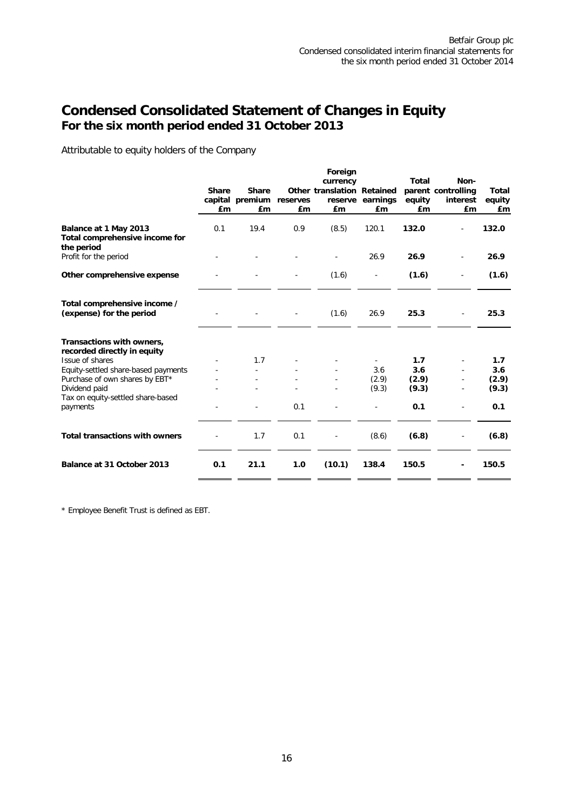## **Condensed Consolidated Statement of Changes in Equity For the six month period ended 31 October 2013**

Attributable to equity holders of the Company

|                                                                       |                    |                                                |                | Foreign<br>currency              |                          | <b>Total</b>   | Non-                                 |                              |
|-----------------------------------------------------------------------|--------------------|------------------------------------------------|----------------|----------------------------------|--------------------------|----------------|--------------------------------------|------------------------------|
|                                                                       | <b>Share</b><br>£m | <b>Share</b><br>capital premium reserves<br>£m | £ <sub>m</sub> | Other translation Retained<br>£m | reserve earnings<br>£m   | equity<br>£m   | parent controlling<br>interest<br>£m | <b>Total</b><br>equity<br>£m |
| Balance at 1 May 2013<br>Total comprehensive income for<br>the period | 0.1                | 19.4                                           | 0.9            | (8.5)                            | 120.1                    | 132.0          |                                      | 132.0                        |
| Profit for the period                                                 |                    |                                                |                |                                  | 26.9                     | 26.9           |                                      | 26.9                         |
| Other comprehensive expense                                           |                    |                                                |                | (1.6)                            | $\overline{\phantom{a}}$ | (1.6)          | $\overline{\phantom{a}}$             | (1.6)                        |
| Total comprehensive income /<br>(expense) for the period              |                    |                                                |                | (1.6)                            | 26.9                     | 25.3           |                                      | 25.3                         |
| Transactions with owners,<br>recorded directly in equity              |                    |                                                |                |                                  |                          |                |                                      |                              |
| Issue of shares                                                       |                    | 1.7                                            |                |                                  |                          | 1.7            |                                      | 1.7                          |
| Equity-settled share-based payments                                   |                    |                                                |                |                                  | 3.6                      | 3.6            |                                      | 3.6                          |
| Purchase of own shares by EBT*<br>Dividend paid                       |                    |                                                |                |                                  | (2.9)<br>(9.3)           | (2.9)<br>(9.3) |                                      | (2.9)<br>(9.3)               |
| Tax on equity-settled share-based<br>payments                         |                    |                                                | 0.1            |                                  |                          | 0.1            |                                      | 0.1                          |
| <b>Total transactions with owners</b>                                 |                    | 1.7                                            | 0.1            |                                  | (8.6)                    | (6.8)          |                                      | (6.8)                        |
| Balance at 31 October 2013                                            | 0.1                | 21.1                                           | 1.0            | (10.1)                           | 138.4                    | 150.5          |                                      | 150.5                        |

\* Employee Benefit Trust is defined as EBT.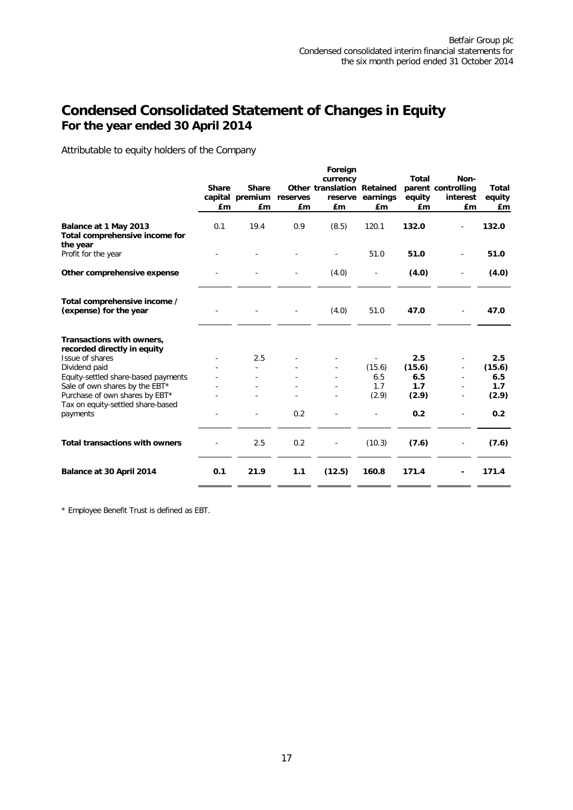## **Condensed Consolidated Statement of Changes in Equity For the year ended 30 April 2014**

Attributable to equity holders of the Company

|                                                                     |              |                 |          | Foreign                    |                  |              |                    |              |
|---------------------------------------------------------------------|--------------|-----------------|----------|----------------------------|------------------|--------------|--------------------|--------------|
|                                                                     |              |                 |          | currency                   |                  | <b>Total</b> | Non-               |              |
|                                                                     | <b>Share</b> | <b>Share</b>    |          | Other translation Retained |                  |              | parent controlling | <b>Total</b> |
|                                                                     |              | capital premium | reserves |                            | reserve earnings | equity       | interest           | equity       |
|                                                                     | £m           | £m              | £m       | £m                         | £m               | £m           | £m                 | £m           |
| Balance at 1 May 2013<br>Total comprehensive income for<br>the year | 0.1          | 19.4            | 0.9      | (8.5)                      | 120.1            | 132.0        |                    | 132.0        |
| Profit for the year                                                 |              |                 |          |                            | 51.0             | 51.0         |                    | 51.0         |
| Other comprehensive expense                                         |              |                 |          | (4.0)                      |                  | (4.0)        |                    | (4.0)        |
| Total comprehensive income /<br>(expense) for the year              |              |                 |          | (4.0)                      | 51.0             | 47.0         |                    | 47.0         |
| Transactions with owners,                                           |              |                 |          |                            |                  |              |                    |              |
| recorded directly in equity                                         |              |                 |          |                            |                  |              |                    |              |
| Issue of shares                                                     |              | 2.5             |          |                            |                  | 2.5          |                    | 2.5          |
| Dividend paid                                                       |              |                 |          |                            | (15.6)           | (15.6)       |                    | (15.6)       |
| Equity-settled share-based payments                                 |              |                 |          |                            | 6.5              | 6.5          |                    | 6.5          |
| Sale of own shares by the EBT*                                      |              |                 |          |                            | 1.7              | 1.7          |                    | 1.7          |
| Purchase of own shares by EBT*<br>Tax on equity-settled share-based |              |                 |          |                            | (2.9)            | (2.9)        |                    | (2.9)        |
| payments                                                            |              |                 | 0.2      |                            |                  | 0.2          |                    | 0.2          |
| <b>Total transactions with owners</b>                               |              | 2.5             | 0.2      |                            | (10.3)           | (7.6)        |                    | (7.6)        |
| Balance at 30 April 2014                                            | 0.1          | 21.9            | 1.1      | (12.5)                     | 160.8            | 171.4        |                    | 171.4        |
|                                                                     |              |                 |          |                            |                  |              |                    |              |

\* Employee Benefit Trust is defined as EBT.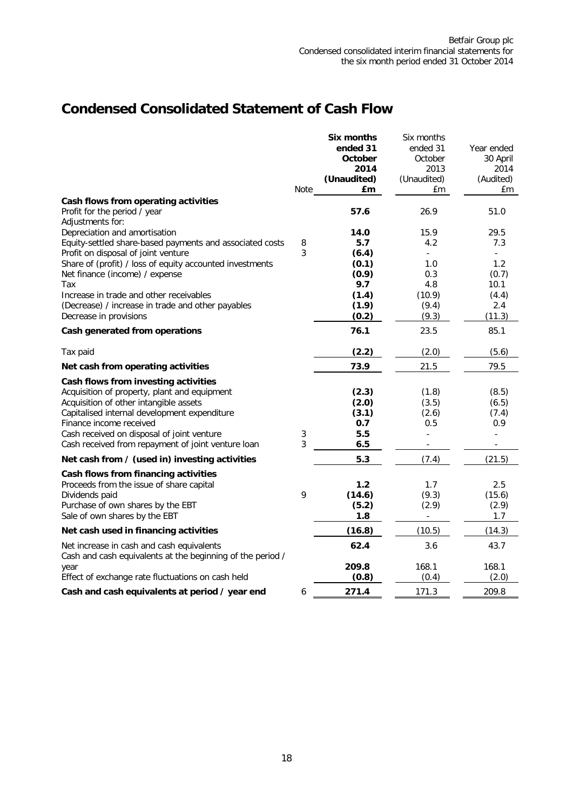# **Condensed Consolidated Statement of Cash Flow**

|                                                            |      | <b>Six months</b> | Six months  |                |
|------------------------------------------------------------|------|-------------------|-------------|----------------|
|                                                            |      | ended 31          | ended 31    | Year ended     |
|                                                            |      | October           | October     | 30 April       |
|                                                            |      | 2014              | 2013        | 2014           |
|                                                            |      | (Unaudited)       | (Unaudited) | (Audited)      |
|                                                            | Note | £m                | £m          | £m             |
| Cash flows from operating activities                       |      |                   |             |                |
| Profit for the period / year                               |      | 57.6              | 26.9        | 51.0           |
| Adjustments for:                                           |      |                   |             |                |
| Depreciation and amortisation                              |      | 14.0              | 15.9        | 29.5           |
| Equity-settled share-based payments and associated costs   | 8    | 5.7               | 4.2         | 7.3            |
| Profit on disposal of joint venture                        | 3    | (6.4)             |             |                |
| Share of (profit) / loss of equity accounted investments   |      | (0.1)             | 1.0         | 1.2            |
| Net finance (income) / expense                             |      | (0.9)             | 0.3         | (0.7)          |
| Tax                                                        |      | 9.7               | 4.8         | 10.1           |
| Increase in trade and other receivables                    |      | (1.4)             | (10.9)      | (4.4)          |
| (Decrease) / increase in trade and other payables          |      | (1.9)             | (9.4)       | 2.4            |
| Decrease in provisions                                     |      | (0.2)             | (9.3)       | (11.3)         |
| Cash generated from operations                             |      | 76.1              | 23.5        | 85.1           |
| Tax paid                                                   |      | (2.2)             | (2.0)       | (5.6)          |
| Net cash from operating activities                         |      | 73.9              | 21.5        | 79.5           |
| Cash flows from investing activities                       |      |                   |             |                |
| Acquisition of property, plant and equipment               |      | (2.3)             | (1.8)       | (8.5)          |
| Acquisition of other intangible assets                     |      | (2.0)             | (3.5)       | (6.5)          |
| Capitalised internal development expenditure               |      | (3.1)             | (2.6)       | (7.4)          |
| Finance income received                                    |      | 0.7               | 0.5         | 0.9            |
| Cash received on disposal of joint venture                 | 3    | 5.5               |             | $\blacksquare$ |
| Cash received from repayment of joint venture loan         | 3    | 6.5               |             |                |
| Net cash from / (used in) investing activities             |      | 5.3               | (7.4)       | (21.5)         |
| Cash flows from financing activities                       |      |                   |             |                |
| Proceeds from the issue of share capital                   |      | $1.2$             | 1.7         | 2.5            |
| Dividends paid                                             | 9    | (14.6)            | (9.3)       | (15.6)         |
| Purchase of own shares by the EBT                          |      | (5.2)             | (2.9)       | (2.9)          |
| Sale of own shares by the EBT                              |      | 1.8               |             | 1.7            |
| Net cash used in financing activities                      |      | (16.8)            | (10.5)      | (14.3)         |
| Net increase in cash and cash equivalents                  |      | 62.4              | 3.6         | 43.7           |
| Cash and cash equivalents at the beginning of the period / |      |                   |             |                |
| year                                                       |      | 209.8             | 168.1       | 168.1          |
| Effect of exchange rate fluctuations on cash held          |      | (0.8)             | (0.4)       | (2.0)          |
|                                                            |      |                   |             |                |
| Cash and cash equivalents at period / year end             | 6    | 271.4             | 171.3       | 209.8          |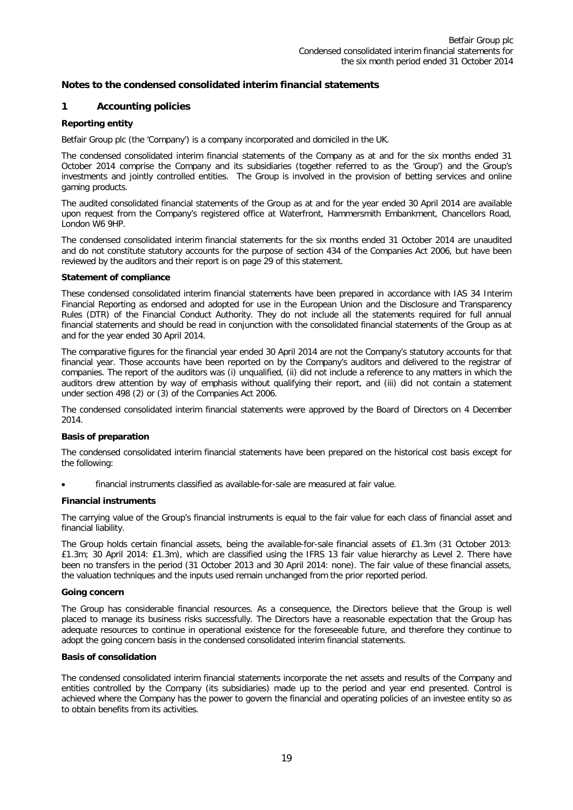## **1 Accounting policies**

## **Reporting entity**

Betfair Group plc (the 'Company') is a company incorporated and domiciled in the UK.

The condensed consolidated interim financial statements of the Company as at and for the six months ended 31 October 2014 comprise the Company and its subsidiaries (together referred to as the 'Group') and the Group's investments and jointly controlled entities. The Group is involved in the provision of betting services and online gaming products.

The audited consolidated financial statements of the Group as at and for the year ended 30 April 2014 are available upon request from the Company's registered office at Waterfront, Hammersmith Embankment, Chancellors Road, London W6 9HP.

The condensed consolidated interim financial statements for the six months ended 31 October 2014 are unaudited and do not constitute statutory accounts for the purpose of section 434 of the Companies Act 2006, but have been reviewed by the auditors and their report is on page 29 of this statement.

#### **Statement of compliance**

These condensed consolidated interim financial statements have been prepared in accordance with IAS 34 Interim Financial Reporting as endorsed and adopted for use in the European Union and the Disclosure and Transparency Rules (DTR) of the Financial Conduct Authority. They do not include all the statements required for full annual financial statements and should be read in conjunction with the consolidated financial statements of the Group as at and for the year ended 30 April 2014.

The comparative figures for the financial year ended 30 April 2014 are not the Company's statutory accounts for that financial year. Those accounts have been reported on by the Company's auditors and delivered to the registrar of companies. The report of the auditors was (i) unqualified, (ii) did not include a reference to any matters in which the auditors drew attention by way of emphasis without qualifying their report, and (iii) did not contain a statement under section 498 (2) or (3) of the Companies Act 2006.

The condensed consolidated interim financial statements were approved by the Board of Directors on 4 December 2014.

#### **Basis of preparation**

The condensed consolidated interim financial statements have been prepared on the historical cost basis except for the following:

• financial instruments classified as available-for-sale are measured at fair value.

#### **Financial instruments**

The carrying value of the Group's financial instruments is equal to the fair value for each class of financial asset and financial liability.

The Group holds certain financial assets, being the available-for-sale financial assets of £1.3m (31 October 2013: £1.3m; 30 April 2014: £1.3m), which are classified using the IFRS 13 fair value hierarchy as Level 2. There have been no transfers in the period (31 October 2013 and 30 April 2014: none). The fair value of these financial assets, the valuation techniques and the inputs used remain unchanged from the prior reported period.

#### **Going concern**

The Group has considerable financial resources. As a consequence, the Directors believe that the Group is well placed to manage its business risks successfully. The Directors have a reasonable expectation that the Group has adequate resources to continue in operational existence for the foreseeable future, and therefore they continue to adopt the going concern basis in the condensed consolidated interim financial statements.

#### **Basis of consolidation**

The condensed consolidated interim financial statements incorporate the net assets and results of the Company and entities controlled by the Company (its subsidiaries) made up to the period and year end presented. Control is achieved where the Company has the power to govern the financial and operating policies of an investee entity so as to obtain benefits from its activities.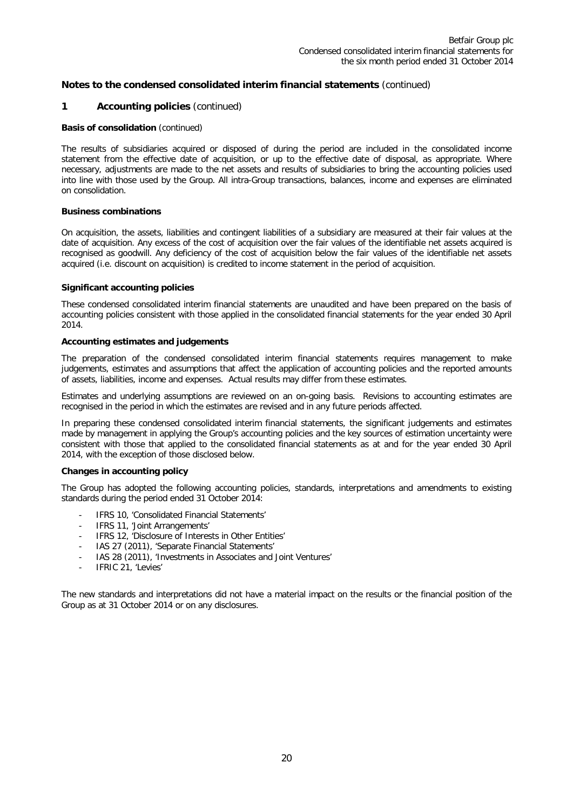## **1 Accounting policies** (continued)

#### **Basis of consolidation** (continued)

The results of subsidiaries acquired or disposed of during the period are included in the consolidated income statement from the effective date of acquisition, or up to the effective date of disposal, as appropriate. Where necessary, adjustments are made to the net assets and results of subsidiaries to bring the accounting policies used into line with those used by the Group. All intra-Group transactions, balances, income and expenses are eliminated on consolidation.

#### **Business combinations**

On acquisition, the assets, liabilities and contingent liabilities of a subsidiary are measured at their fair values at the date of acquisition. Any excess of the cost of acquisition over the fair values of the identifiable net assets acquired is recognised as goodwill. Any deficiency of the cost of acquisition below the fair values of the identifiable net assets acquired (i.e. discount on acquisition) is credited to income statement in the period of acquisition.

#### **Significant accounting policies**

These condensed consolidated interim financial statements are unaudited and have been prepared on the basis of accounting policies consistent with those applied in the consolidated financial statements for the year ended 30 April 2014.

#### **Accounting estimates and judgements**

The preparation of the condensed consolidated interim financial statements requires management to make judgements, estimates and assumptions that affect the application of accounting policies and the reported amounts of assets, liabilities, income and expenses. Actual results may differ from these estimates.

Estimates and underlying assumptions are reviewed on an on-going basis. Revisions to accounting estimates are recognised in the period in which the estimates are revised and in any future periods affected.

In preparing these condensed consolidated interim financial statements, the significant judgements and estimates made by management in applying the Group's accounting policies and the key sources of estimation uncertainty were consistent with those that applied to the consolidated financial statements as at and for the year ended 30 April 2014, with the exception of those disclosed below.

#### **Changes in accounting policy**

The Group has adopted the following accounting policies, standards, interpretations and amendments to existing standards during the period ended 31 October 2014:

- IFRS 10, 'Consolidated Financial Statements'
- IFRS 11, 'Joint Arrangements'
- IFRS 12, 'Disclosure of Interests in Other Entities'
- IAS 27 (2011), 'Separate Financial Statements'
- IAS 28 (2011), 'Investments in Associates and Joint Ventures'
- IFRIC 21, 'Levies'

The new standards and interpretations did not have a material impact on the results or the financial position of the Group as at 31 October 2014 or on any disclosures.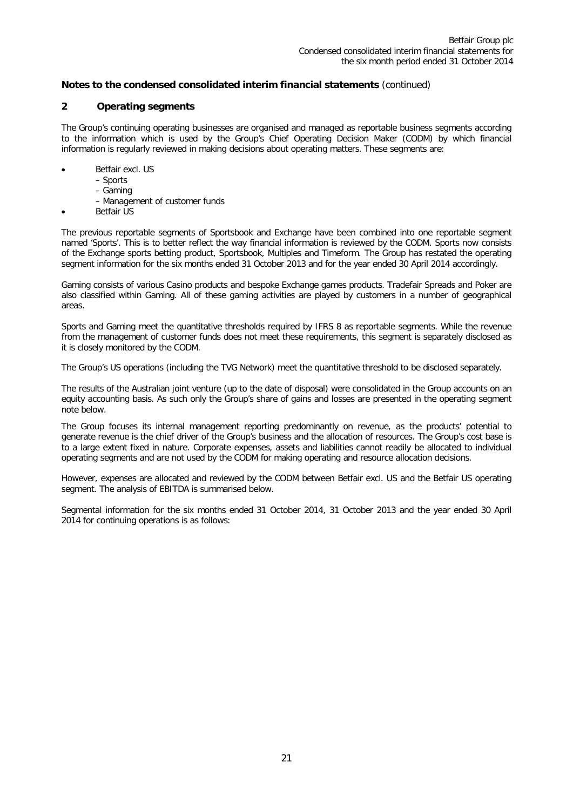## **2 Operating segments**

The Group's continuing operating businesses are organised and managed as reportable business segments according to the information which is used by the Group's Chief Operating Decision Maker (CODM) by which financial information is regularly reviewed in making decisions about operating matters. These segments are:

- Betfair excl. US
	- Sports
		- Gaming
		- Management of customer funds
- **Betfair US**

The previous reportable segments of Sportsbook and Exchange have been combined into one reportable segment named 'Sports'. This is to better reflect the way financial information is reviewed by the CODM. Sports now consists of the Exchange sports betting product, Sportsbook, Multiples and Timeform. The Group has restated the operating segment information for the six months ended 31 October 2013 and for the year ended 30 April 2014 accordingly.

Gaming consists of various Casino products and bespoke Exchange games products. Tradefair Spreads and Poker are also classified within Gaming. All of these gaming activities are played by customers in a number of geographical areas.

Sports and Gaming meet the quantitative thresholds required by IFRS 8 as reportable segments. While the revenue from the management of customer funds does not meet these requirements, this segment is separately disclosed as it is closely monitored by the CODM.

The Group's US operations (including the TVG Network) meet the quantitative threshold to be disclosed separately.

The results of the Australian joint venture (up to the date of disposal) were consolidated in the Group accounts on an equity accounting basis. As such only the Group's share of gains and losses are presented in the operating segment note below.

The Group focuses its internal management reporting predominantly on revenue, as the products' potential to generate revenue is the chief driver of the Group's business and the allocation of resources. The Group's cost base is to a large extent fixed in nature. Corporate expenses, assets and liabilities cannot readily be allocated to individual operating segments and are not used by the CODM for making operating and resource allocation decisions.

However, expenses are allocated and reviewed by the CODM between Betfair excl. US and the Betfair US operating segment. The analysis of EBITDA is summarised below.

Segmental information for the six months ended 31 October 2014, 31 October 2013 and the year ended 30 April 2014 for continuing operations is as follows: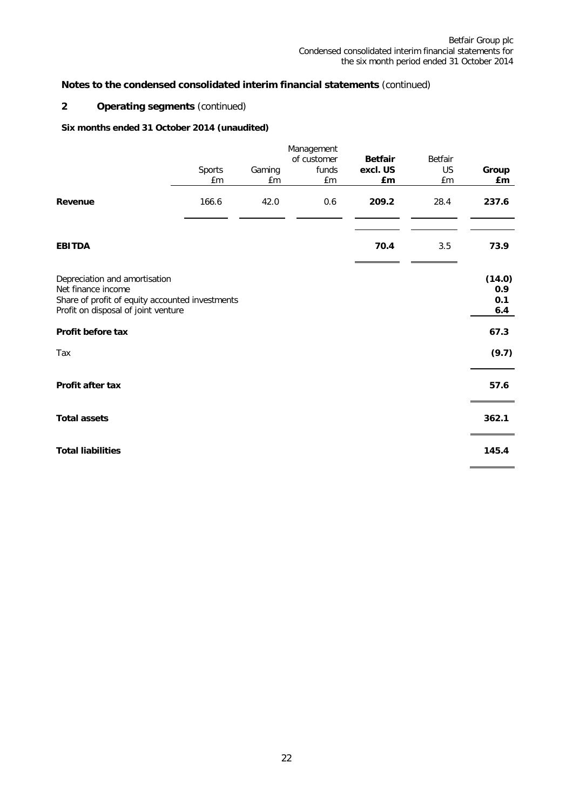## **2 Operating segments** (continued)

## **Six months ended 31 October 2014 (unaudited)**

|                                                                                                                                               |              |              | Management                 |                                  |                            |                             |
|-----------------------------------------------------------------------------------------------------------------------------------------------|--------------|--------------|----------------------------|----------------------------------|----------------------------|-----------------------------|
|                                                                                                                                               | Sports<br>£m | Gaming<br>£m | of customer<br>funds<br>£m | <b>Betfair</b><br>excl. US<br>£m | Betfair<br><b>US</b><br>£m | Group<br>£m                 |
| Revenue                                                                                                                                       | 166.6        | 42.0         | 0.6                        | 209.2                            | 28.4                       | 237.6                       |
| <b>EBITDA</b>                                                                                                                                 |              |              |                            | 70.4                             | 3.5                        | 73.9                        |
| Depreciation and amortisation<br>Net finance income<br>Share of profit of equity accounted investments<br>Profit on disposal of joint venture |              |              |                            |                                  |                            | (14.0)<br>0.9<br>0.1<br>6.4 |
| Profit before tax                                                                                                                             |              |              |                            |                                  |                            | 67.3                        |
| Tax                                                                                                                                           |              |              |                            |                                  |                            | (9.7)                       |
| Profit after tax                                                                                                                              |              |              |                            |                                  |                            | 57.6                        |
| <b>Total assets</b>                                                                                                                           |              |              |                            |                                  |                            | 362.1                       |
| <b>Total liabilities</b>                                                                                                                      |              |              |                            |                                  |                            | 145.4                       |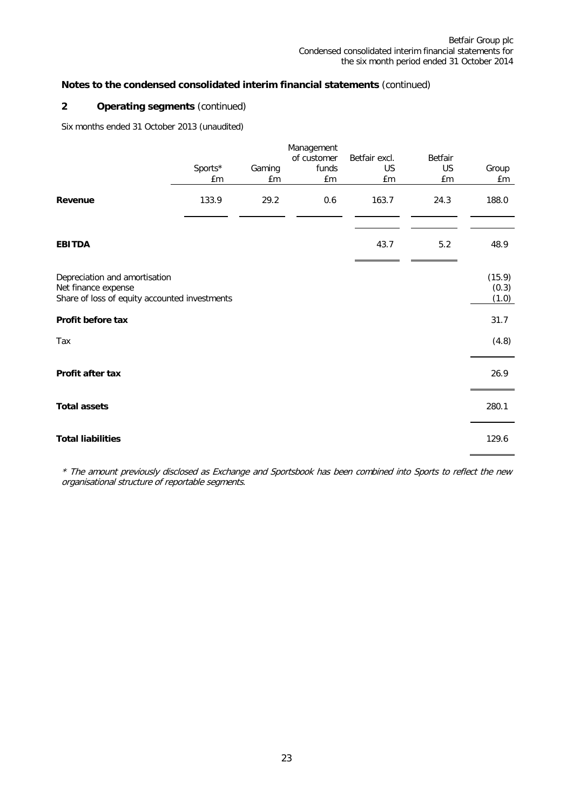## **2 Operating segments** (continued)

Six months ended 31 October 2013 (unaudited)

|                                                                                                       |               |              | Management                 |                           |                                   |                          |
|-------------------------------------------------------------------------------------------------------|---------------|--------------|----------------------------|---------------------------|-----------------------------------|--------------------------|
|                                                                                                       | Sports*<br>£m | Gaming<br>£m | of customer<br>funds<br>£m | Betfair excl.<br>US<br>£m | <b>Betfair</b><br><b>US</b><br>£m | Group<br>£m              |
| Revenue                                                                                               | 133.9         | 29.2         | 0.6                        | 163.7                     | 24.3                              | 188.0                    |
| <b>EBITDA</b>                                                                                         |               |              |                            | 43.7                      | 5.2                               | 48.9                     |
| Depreciation and amortisation<br>Net finance expense<br>Share of loss of equity accounted investments |               |              |                            |                           |                                   | (15.9)<br>(0.3)<br>(1.0) |
| Profit before tax                                                                                     |               |              |                            |                           |                                   | 31.7                     |
| Tax                                                                                                   |               |              |                            |                           |                                   | (4.8)                    |
| Profit after tax                                                                                      |               |              |                            |                           |                                   | 26.9                     |
| <b>Total assets</b>                                                                                   |               |              |                            |                           |                                   | 280.1                    |
| <b>Total liabilities</b>                                                                              |               |              |                            |                           |                                   | 129.6                    |

\* The amount previously disclosed as Exchange and Sportsbook has been combined into Sports to reflect the new organisational structure of reportable segments.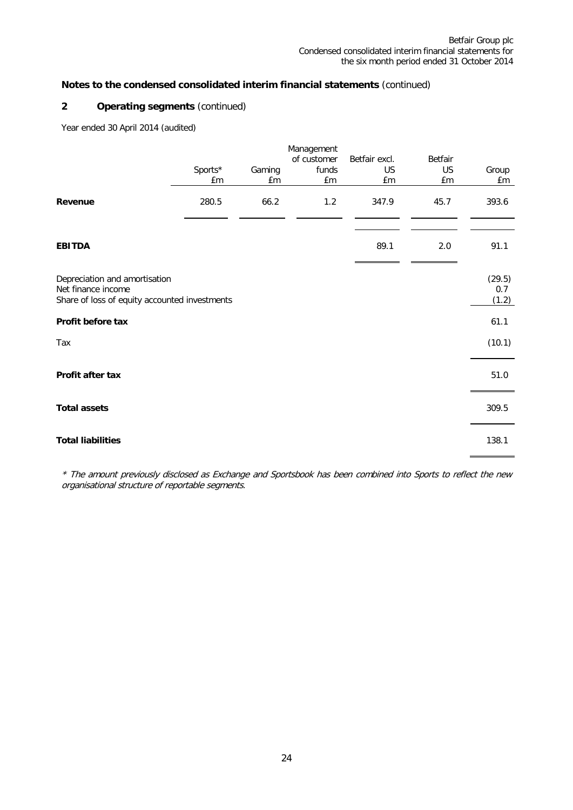## **2 Operating segments** (continued)

Year ended 30 April 2014 (audited)

|                                                                                                      |               |              | Management<br>of customer | Betfair excl. | Betfair  |                        |
|------------------------------------------------------------------------------------------------------|---------------|--------------|---------------------------|---------------|----------|------------------------|
|                                                                                                      | Sports*<br>£m | Gaming<br>£m | funds<br>£m               | US<br>£m      | US<br>£m | Group<br>£m            |
| Revenue                                                                                              | 280.5         | 66.2         | 1.2                       | 347.9         | 45.7     | 393.6                  |
| <b>EBITDA</b>                                                                                        |               |              |                           | 89.1          | 2.0      | 91.1                   |
| Depreciation and amortisation<br>Net finance income<br>Share of loss of equity accounted investments |               |              |                           |               |          | (29.5)<br>0.7<br>(1.2) |
| Profit before tax                                                                                    |               |              |                           |               |          | 61.1                   |
| Tax                                                                                                  |               |              |                           |               |          | (10.1)                 |
| Profit after tax                                                                                     |               |              |                           |               |          | 51.0                   |
| <b>Total assets</b>                                                                                  |               |              |                           |               |          | 309.5                  |
| <b>Total liabilities</b>                                                                             |               |              |                           |               |          | 138.1                  |

\* The amount previously disclosed as Exchange and Sportsbook has been combined into Sports to reflect the new organisational structure of reportable segments.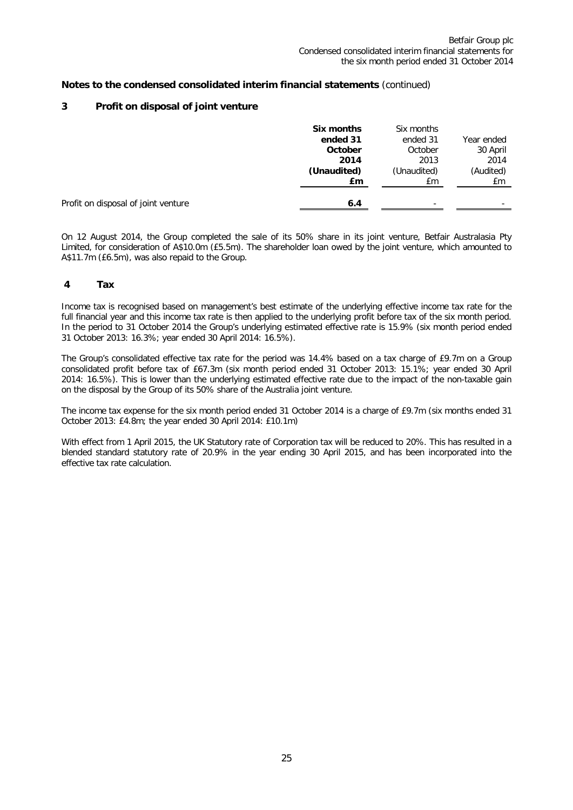## **3 Profit on disposal of joint venture**

|                                     | Six months<br>ended 31<br>October<br>2014<br>(Unaudited)<br>£m | Six months<br>ended 31<br>October<br>2013<br>(Unaudited)<br>£m | Year ended<br>30 April<br>2014<br>(Audited)<br>£m |
|-------------------------------------|----------------------------------------------------------------|----------------------------------------------------------------|---------------------------------------------------|
| Profit on disposal of joint venture | 6.4                                                            | ۰                                                              | -                                                 |

On 12 August 2014, the Group completed the sale of its 50% share in its joint venture, Betfair Australasia Pty Limited, for consideration of A\$10.0m (£5.5m). The shareholder loan owed by the joint venture, which amounted to A\$11.7m (£6.5m), was also repaid to the Group.

## **4 Tax**

Income tax is recognised based on management's best estimate of the underlying effective income tax rate for the full financial year and this income tax rate is then applied to the underlying profit before tax of the six month period. In the period to 31 October 2014 the Group's underlying estimated effective rate is 15.9% (six month period ended 31 October 2013: 16.3%; year ended 30 April 2014: 16.5%).

The Group's consolidated effective tax rate for the period was 14.4% based on a tax charge of £9.7m on a Group consolidated profit before tax of £67.3m (six month period ended 31 October 2013: 15.1%; year ended 30 April 2014: 16.5%). This is lower than the underlying estimated effective rate due to the impact of the non-taxable gain on the disposal by the Group of its 50% share of the Australia joint venture.

The income tax expense for the six month period ended 31 October 2014 is a charge of £9.7m (six months ended 31 October 2013: £4.8m; the year ended 30 April 2014: £10.1m)

With effect from 1 April 2015, the UK Statutory rate of Corporation tax will be reduced to 20%. This has resulted in a blended standard statutory rate of 20.9% in the year ending 30 April 2015, and has been incorporated into the effective tax rate calculation.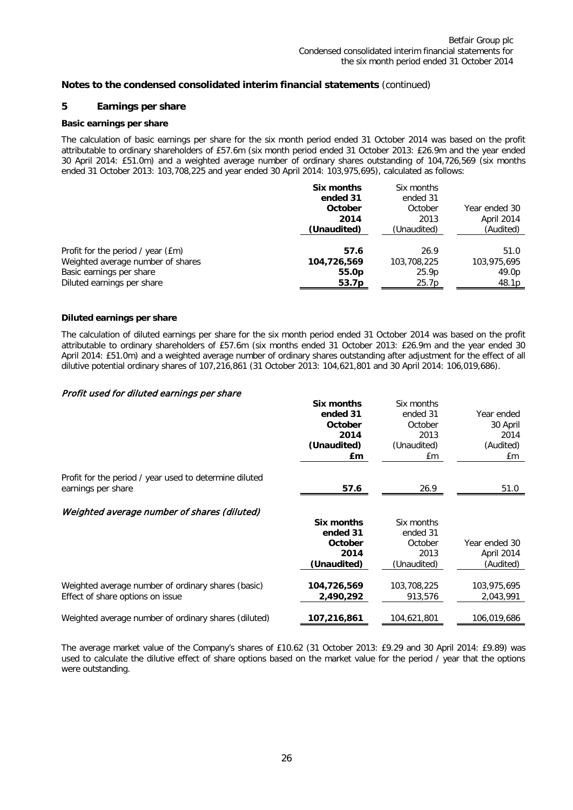## **5 Earnings per share**

## **Basic earnings per share**

The calculation of basic earnings per share for the six month period ended 31 October 2014 was based on the profit attributable to ordinary shareholders of £57.6m (six month period ended 31 October 2013: £26.9m and the year ended 30 April 2014: £51.0m) and a weighted average number of ordinary shares outstanding of 104,726,569 (six months ended 31 October 2013: 103,708,225 and year ended 30 April 2014: 103,975,695), calculated as follows:

|                                   | Six months<br>ended 31<br>October | Six months<br>ended 31<br>October | Year ended 30 |
|-----------------------------------|-----------------------------------|-----------------------------------|---------------|
|                                   | 2014                              | 2013                              | April 2014    |
|                                   | (Unaudited)                       | (Unaudited)                       | (Audited)     |
| Profit for the period / year (£m) | 57.6                              | 26.9                              | 51.0          |
| Weighted average number of shares | 104,726,569                       | 103,708,225                       | 103,975,695   |
| Basic earnings per share          | 55.0 <sub>p</sub>                 | 25.9 <sub>p</sub>                 | 49.0p         |
| Diluted earnings per share        | 53.7 <sub>p</sub>                 | 25.7p                             | 48.1p         |

#### **Diluted earnings per share**

The calculation of diluted earnings per share for the six month period ended 31 October 2014 was based on the profit attributable to ordinary shareholders of £57.6m (six months ended 31 October 2013: £26.9m and the year ended 30 April 2014: £51.0m) and a weighted average number of ordinary shares outstanding after adjustment for the effect of all dilutive potential ordinary shares of 107,216,861 (31 October 2013: 104,621,801 and 30 April 2014: 106,019,686).

#### Profit used for diluted earnings per share

|                                                        | Six months  | Six months  |               |
|--------------------------------------------------------|-------------|-------------|---------------|
|                                                        | ended 31    | ended 31    | Year ended    |
|                                                        | October     | October     | 30 April      |
|                                                        | 2014        | 2013        | 2014          |
|                                                        | (Unaudited) | (Unaudited) | (Audited)     |
|                                                        | £m          | £m          | £m            |
| Profit for the period / year used to determine diluted |             |             |               |
| earnings per share                                     | 57.6        | 26.9        | 51.0          |
| Weighted average number of shares (diluted)            |             |             |               |
|                                                        | Six months  | Six months  |               |
|                                                        | ended 31    | ended 31    |               |
|                                                        | October     | October     | Year ended 30 |
|                                                        | 2014        | 2013        | April 2014    |
|                                                        | (Unaudited) | (Unaudited) | (Audited)     |
| Weighted average number of ordinary shares (basic)     | 104,726,569 | 103,708,225 | 103,975,695   |
| Effect of share options on issue                       | 2,490,292   | 913,576     | 2,043,991     |
|                                                        |             |             |               |
| Weighted average number of ordinary shares (diluted)   | 107,216,861 | 104,621,801 | 106,019,686   |

The average market value of the Company's shares of £10.62 (31 October 2013: £9.29 and 30 April 2014: £9.89) was used to calculate the dilutive effect of share options based on the market value for the period / year that the options were outstanding.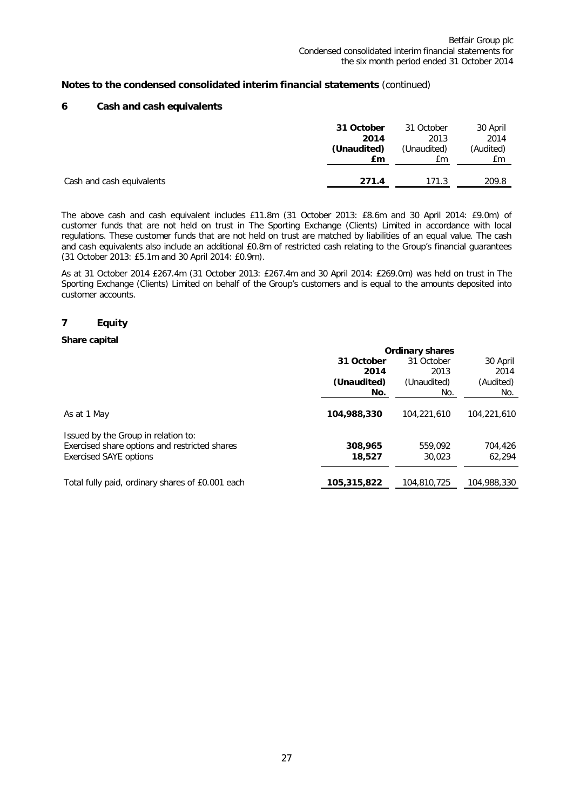## **6 Cash and cash equivalents**

|                           | 31 October  | 31 October  | 30 April  |
|---------------------------|-------------|-------------|-----------|
|                           | 2014        | 2013        | 2014      |
|                           | (Unaudited) | (Unaudited) | (Audited) |
|                           | £m          | Εm          | £m        |
| Cash and cash equivalents | 271.4       | 171.3       | 209.8     |

The above cash and cash equivalent includes £11.8m (31 October 2013: £8.6m and 30 April 2014: £9.0m) of customer funds that are not held on trust in The Sporting Exchange (Clients) Limited in accordance with local regulations. These customer funds that are not held on trust are matched by liabilities of an equal value. The cash and cash equivalents also include an additional £0.8m of restricted cash relating to the Group's financial guarantees (31 October 2013: £5.1m and 30 April 2014: £0.9m).

As at 31 October 2014 £267.4m (31 October 2013: £267.4m and 30 April 2014: £269.0m) was held on trust in The Sporting Exchange (Clients) Limited on behalf of the Group's customers and is equal to the amounts deposited into customer accounts.

## **7 Equity**

#### **Share capital**

|                                                                                                                       | <b>Ordinary shares</b> |                   |                   |  |
|-----------------------------------------------------------------------------------------------------------------------|------------------------|-------------------|-------------------|--|
|                                                                                                                       | 31 October             | 31 October        | 30 April          |  |
|                                                                                                                       | 2014                   | 2013              | 2014              |  |
|                                                                                                                       | (Unaudited)            | (Unaudited)       | (Audited)         |  |
|                                                                                                                       | No.                    | No.               | No.               |  |
| As at 1 May                                                                                                           | 104,988,330            | 104.221.610       | 104.221.610       |  |
| Issued by the Group in relation to:<br>Exercised share options and restricted shares<br><b>Exercised SAYE options</b> | 308,965<br>18,527      | 559.092<br>30,023 | 704,426<br>62,294 |  |
| Total fully paid, ordinary shares of £0.001 each                                                                      | 105,315,822            | 104,810,725       | 104,988,330       |  |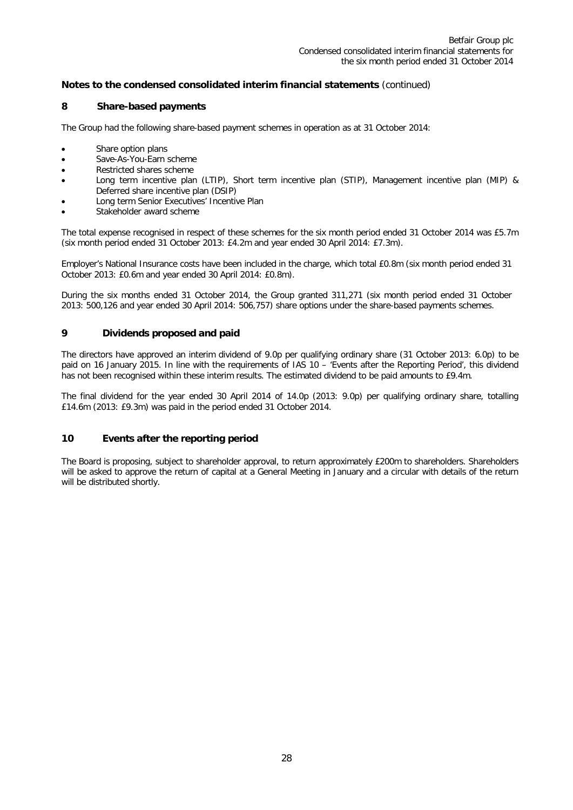## **8 Share-based payments**

The Group had the following share-based payment schemes in operation as at 31 October 2014:

- Share option plans
- Save-As-You-Earn scheme
- Restricted shares scheme
- Long term incentive plan (LTIP), Short term incentive plan (STIP), Management incentive plan (MIP) & Deferred share incentive plan (DSIP)
- Long term Senior Executives' Incentive Plan
- Stakeholder award scheme

The total expense recognised in respect of these schemes for the six month period ended 31 October 2014 was £5.7m (six month period ended 31 October 2013: £4.2m and year ended 30 April 2014: £7.3m).

Employer's National Insurance costs have been included in the charge, which total £0.8m (six month period ended 31 October 2013: £0.6m and year ended 30 April 2014: £0.8m).

During the six months ended 31 October 2014, the Group granted 311,271 (six month period ended 31 October 2013: 500,126 and year ended 30 April 2014: 506,757) share options under the share-based payments schemes.

## **9 Dividends proposed and paid**

The directors have approved an interim dividend of 9.0p per qualifying ordinary share (31 October 2013: 6.0p) to be paid on 16 January 2015. In line with the requirements of IAS 10 – 'Events after the Reporting Period', this dividend has not been recognised within these interim results. The estimated dividend to be paid amounts to £9.4m.

The final dividend for the year ended 30 April 2014 of 14.0p (2013: 9.0p) per qualifying ordinary share, totalling £14.6m (2013: £9.3m) was paid in the period ended 31 October 2014.

## **10 Events after the reporting period**

The Board is proposing, subject to shareholder approval, to return approximately £200m to shareholders. Shareholders will be asked to approve the return of capital at a General Meeting in January and a circular with details of the return will be distributed shortly.